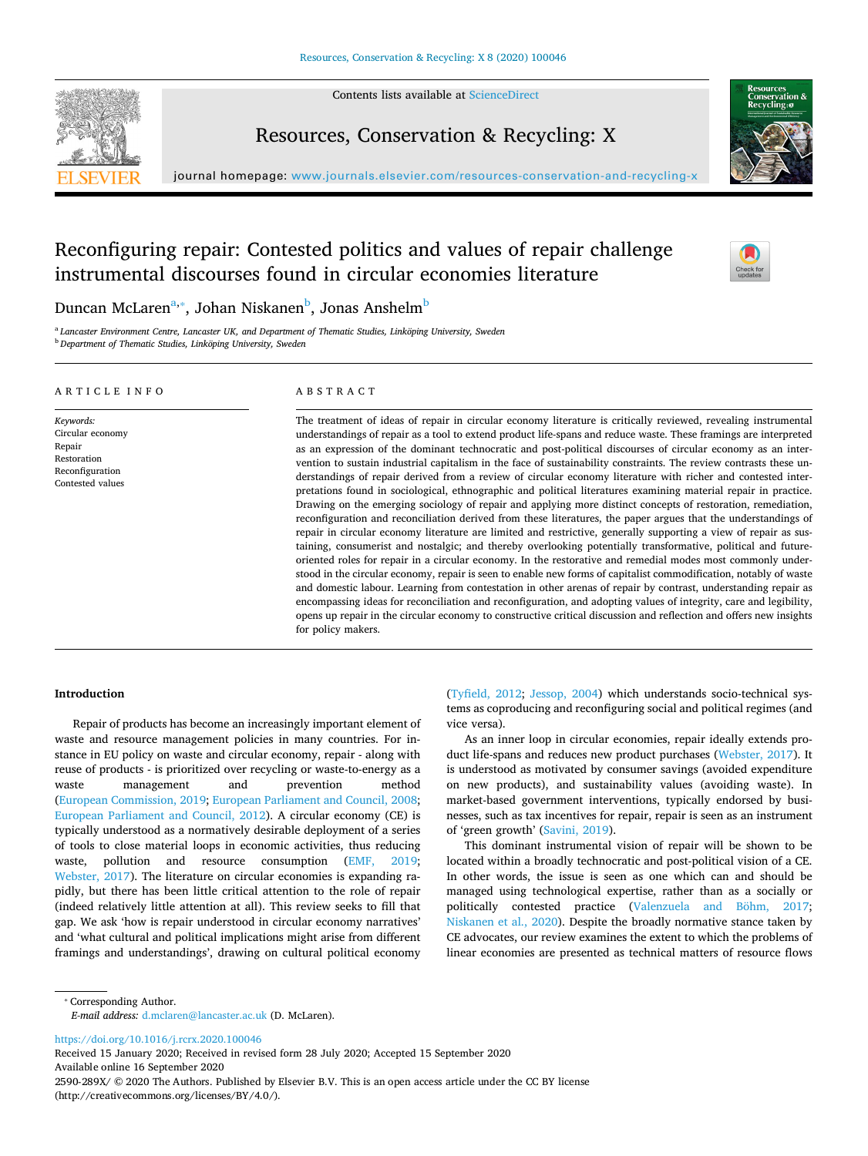

Contents lists available at [ScienceDirect](http://www.sciencedirect.com/science/journal/2590289X)

## Resources, Conservation & Recycling: X



journal homepage: [www.journals.elsevier.com/resources-conservation-and-recycling-x](https://www.journals.elsevier.com/resources-conservation-and-recycling-x)

# Reconfiguring repair: Contested politics and values of repair challenge instrumental discourses found in circular economies literature



Duncan McLaren<sup>a,</sup>\*, Johan Niskanen<sup>b</sup>, Jo[na](#page-0-0)s Anshelm<sup>[b](#page-0-2)</sup>

<span id="page-0-2"></span><span id="page-0-0"></span><sup>a</sup> *Lancaster Environment Centre, Lancaster UK, and Department of Thematic Studies, Linköping University, Sweden* <sup>b</sup> *Department of Thematic Studies, Linköping University, Sweden*

#### ARTICLE INFO

*Keywords:* Circular economy Repair Restoration Reconfiguration Contested values

## ABSTRACT

The treatment of ideas of repair in circular economy literature is critically reviewed, revealing instrumental understandings of repair as a tool to extend product life-spans and reduce waste. These framings are interpreted as an expression of the dominant technocratic and post-political discourses of circular economy as an intervention to sustain industrial capitalism in the face of sustainability constraints. The review contrasts these understandings of repair derived from a review of circular economy literature with richer and contested interpretations found in sociological, ethnographic and political literatures examining material repair in practice. Drawing on the emerging sociology of repair and applying more distinct concepts of restoration, remediation, reconfiguration and reconciliation derived from these literatures, the paper argues that the understandings of repair in circular economy literature are limited and restrictive, generally supporting a view of repair as sustaining, consumerist and nostalgic; and thereby overlooking potentially transformative, political and futureoriented roles for repair in a circular economy. In the restorative and remedial modes most commonly understood in the circular economy, repair is seen to enable new forms of capitalist commodification, notably of waste and domestic labour. Learning from contestation in other arenas of repair by contrast, understanding repair as encompassing ideas for reconciliation and reconfiguration, and adopting values of integrity, care and legibility, opens up repair in the circular economy to constructive critical discussion and reflection and offers new insights for policy makers.

#### **Introduction**

Repair of products has become an increasingly important element of waste and resource management policies in many countries. For instance in EU policy on waste and circular economy, repair - along with reuse of products - is prioritized over recycling or waste-to-energy as a waste management and prevention method ([European Commission, 2019](#page-8-0); [European Parliament and Council, 2008](#page-8-1); [European Parliament and Council, 2012](#page-8-2)). A circular economy (CE) is typically understood as a normatively desirable deployment of a series of tools to close material loops in economic activities, thus reducing waste, pollution and resource consumption [\(EMF, 2019](#page-8-3); [Webster, 2017](#page-10-0)). The literature on circular economies is expanding rapidly, but there has been little critical attention to the role of repair (indeed relatively little attention at all). This review seeks to fill that gap. We ask 'how is repair understood in circular economy narratives' and 'what cultural and political implications might arise from different framings and understandings', drawing on cultural political economy ([Tyfield, 2012](#page-10-1); [Jessop, 2004\)](#page-9-0) which understands socio-technical systems as coproducing and reconfiguring social and political regimes (and vice versa).

As an inner loop in circular economies, repair ideally extends product life-spans and reduces new product purchases [\(Webster, 2017](#page-10-0)). It is understood as motivated by consumer savings (avoided expenditure on new products), and sustainability values (avoiding waste). In market-based government interventions, typically endorsed by businesses, such as tax incentives for repair, repair is seen as an instrument of 'green growth' [\(Savini, 2019\)](#page-9-1).

This dominant instrumental vision of repair will be shown to be located within a broadly technocratic and post-political vision of a CE. In other words, the issue is seen as one which can and should be managed using technological expertise, rather than as a socially or politically contested practice ([Valenzuela and Böhm, 2017](#page-10-2); [Niskanen et al., 2020\)](#page-9-2). Despite the broadly normative stance taken by CE advocates, our review examines the extent to which the problems of linear economies are presented as technical matters of resource flows

<span id="page-0-1"></span>⁎ Corresponding Author.

*E-mail address:* [d.mclaren@lancaster.ac.uk](mailto:d.mclaren@lancaster.ac.uk) (D. McLaren).

<https://doi.org/10.1016/j.rcrx.2020.100046>

Received 15 January 2020; Received in revised form 28 July 2020; Accepted 15 September 2020 Available online 16 September 2020

2590-289X/ © 2020 The Authors. Published by Elsevier B.V. This is an open access article under the CC BY license (http://creativecommons.org/licenses/BY/4.0/).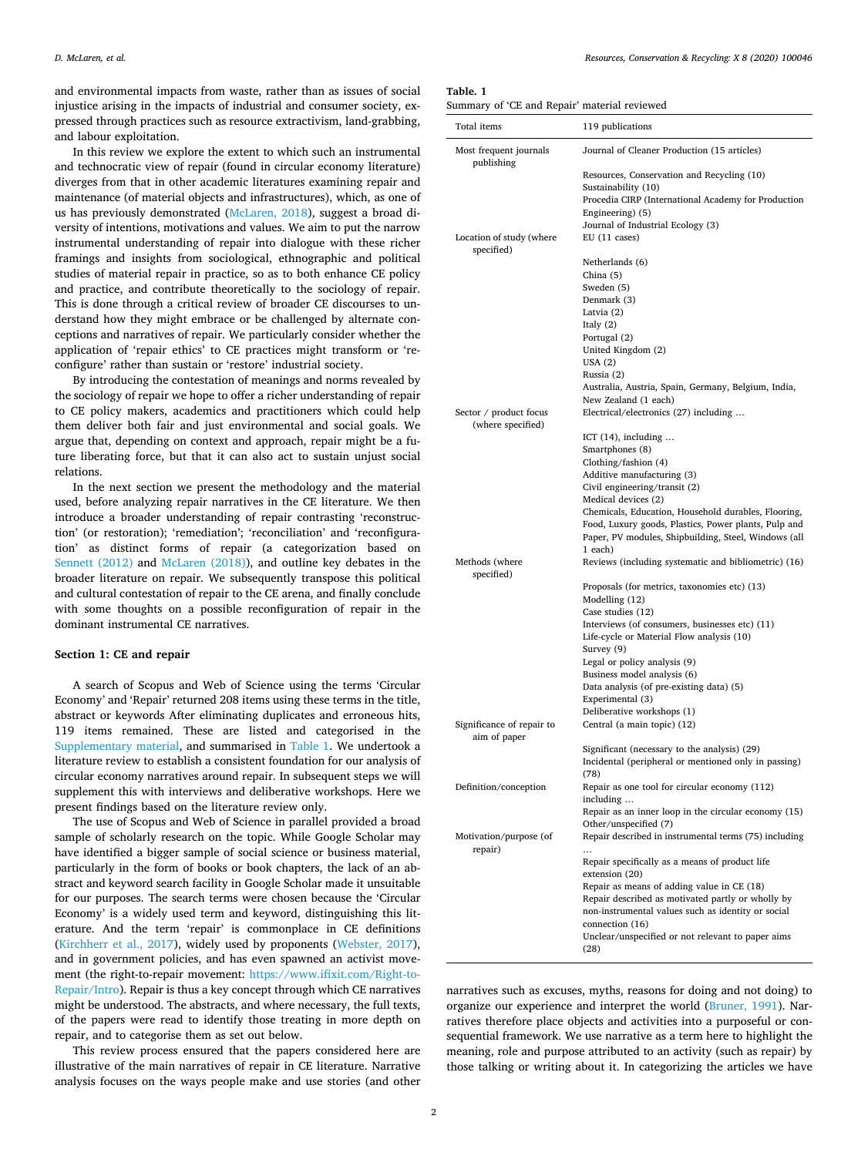and environmental impacts from waste, rather than as issues of social injustice arising in the impacts of industrial and consumer society, expressed through practices such as resource extractivism, land-grabbing, and labour exploitation.

In this review we explore the extent to which such an instrumental and technocratic view of repair (found in circular economy literature) diverges from that in other academic literatures examining repair and maintenance (of material objects and infrastructures), which, as one of us has previously demonstrated [\(McLaren, 2018](#page-9-3)), suggest a broad diversity of intentions, motivations and values. We aim to put the narrow instrumental understanding of repair into dialogue with these richer framings and insights from sociological, ethnographic and political studies of material repair in practice, so as to both enhance CE policy and practice, and contribute theoretically to the sociology of repair. This is done through a critical review of broader CE discourses to understand how they might embrace or be challenged by alternate conceptions and narratives of repair. We particularly consider whether the application of 'repair ethics' to CE practices might transform or 'reconfigure' rather than sustain or 'restore' industrial society.

By introducing the contestation of meanings and norms revealed by the sociology of repair we hope to offer a richer understanding of repair to CE policy makers, academics and practitioners which could help them deliver both fair and just environmental and social goals. We argue that, depending on context and approach, repair might be a future liberating force, but that it can also act to sustain unjust social relations.

In the next section we present the methodology and the material used, before analyzing repair narratives in the CE literature. We then introduce a broader understanding of repair contrasting 'reconstruction' (or restoration); 'remediation'; 'reconciliation' and 'reconfiguration' as distinct forms of repair (a categorization based on [Sennett \(2012\)](#page-9-4) and [McLaren \(2018\)\)](#page-9-3), and outline key debates in the broader literature on repair. We subsequently transpose this political and cultural contestation of repair to the CE arena, and finally conclude with some thoughts on a possible reconfiguration of repair in the dominant instrumental CE narratives.

## **Section 1: CE and repair**

A search of Scopus and Web of Science using the terms 'Circular Economy' and 'Repair' returned 208 items using these terms in the title, abstract or keywords After eliminating duplicates and erroneous hits, 119 items remained. These are listed and categorised in the [Supplementary material](#page-8-4), and summarised in [Table 1](#page-1-0). We undertook a literature review to establish a consistent foundation for our analysis of circular economy narratives around repair. In subsequent steps we will supplement this with interviews and deliberative workshops. Here we present findings based on the literature review only.

The use of Scopus and Web of Science in parallel provided a broad sample of scholarly research on the topic. While Google Scholar may have identified a bigger sample of social science or business material, particularly in the form of books or book chapters, the lack of an abstract and keyword search facility in Google Scholar made it unsuitable for our purposes. The search terms were chosen because the 'Circular Economy' is a widely used term and keyword, distinguishing this literature. And the term 'repair' is commonplace in CE definitions ([Kirchherr et al., 2017](#page-9-5)), widely used by proponents [\(Webster, 2017](#page-10-0)), and in government policies, and has even spawned an activist movement (the right-to-repair movement: [https://www.ifixit.com/Right-to-](https://www.ifixit.com/Right-to-Repair/Intro)[Repair/Intro\)](https://www.ifixit.com/Right-to-Repair/Intro). Repair is thus a key concept through which CE narratives might be understood. The abstracts, and where necessary, the full texts, of the papers were read to identify those treating in more depth on repair, and to categorise them as set out below.

This review process ensured that the papers considered here are illustrative of the main narratives of repair in CE literature. Narrative analysis focuses on the ways people make and use stories (and other

<span id="page-1-0"></span>**Table. 1**

| Summary of 'CE and Repair' material reviewed |  |
|----------------------------------------------|--|
|----------------------------------------------|--|

| Total items                                 | 119 publications                                                                                                                                                                                  |  |
|---------------------------------------------|---------------------------------------------------------------------------------------------------------------------------------------------------------------------------------------------------|--|
| Most frequent journals<br>publishing        | Journal of Cleaner Production (15 articles)                                                                                                                                                       |  |
| Location of study (where                    | Resources, Conservation and Recycling (10)<br>Sustainability (10)<br>Procedia CIRP (International Academy for Production<br>Engineering) (5)<br>Journal of Industrial Ecology (3)<br>EU(11 cases) |  |
| specified)                                  | Netherlands (6)<br>China (5)<br>Sweden (5)<br>Denmark (3)<br>Latvia (2)<br>Italy $(2)$                                                                                                            |  |
|                                             | Portugal (2)<br>United Kingdom (2)<br>USA(2)<br>Russia (2)<br>Australia, Austria, Spain, Germany, Belgium, India,<br>New Zealand (1 each)                                                         |  |
| Sector / product focus<br>(where specified) | Electrical/electronics (27) including                                                                                                                                                             |  |
|                                             | ICT $(14)$ , including<br>Smartphones (8)<br>Clothing/fashion (4)                                                                                                                                 |  |
|                                             | Additive manufacturing (3)<br>Civil engineering/transit (2)<br>Medical devices (2)<br>Chemicals, Education, Household durables, Flooring,                                                         |  |
|                                             | Food, Luxury goods, Plastics, Power plants, Pulp and<br>Paper, PV modules, Shipbuilding, Steel, Windows (all<br>1 each)                                                                           |  |
| Methods (where<br>specified)                | Reviews (including systematic and bibliometric) (16)                                                                                                                                              |  |
|                                             | Proposals (for metrics, taxonomies etc) (13)<br>Modelling (12)<br>Case studies (12)<br>Interviews (of consumers, businesses etc) (11)                                                             |  |
|                                             | Life-cycle or Material Flow analysis (10)<br>Survey (9)                                                                                                                                           |  |
|                                             | Legal or policy analysis (9)<br>Business model analysis (6)<br>Data analysis (of pre-existing data) (5)                                                                                           |  |
|                                             | Experimental (3)<br>Deliberative workshops (1)                                                                                                                                                    |  |
| Significance of repair to<br>aim of paper   | Central (a main topic) (12)                                                                                                                                                                       |  |
|                                             | Significant (necessary to the analysis) (29)<br>Incidental (peripheral or mentioned only in passing)<br>(78)                                                                                      |  |
| Definition/conception                       | Repair as one tool for circular economy (112)<br>including                                                                                                                                        |  |
| Motivation/purpose (of<br>repair)           | Repair as an inner loop in the circular economy (15)<br>Other/unspecified (7)<br>Repair described in instrumental terms (75) including<br>                                                        |  |
|                                             | Repair specifically as a means of product life<br>extension (20)<br>Repair as means of adding value in CE (18)                                                                                    |  |
|                                             | Repair described as motivated partly or wholly by<br>non-instrumental values such as identity or social<br>connection (16)                                                                        |  |
|                                             | Unclear/unspecified or not relevant to paper aims<br>(28)                                                                                                                                         |  |

narratives such as excuses, myths, reasons for doing and not doing) to organize our experience and interpret the world ([Bruner, 1991\)](#page-8-5). Narratives therefore place objects and activities into a purposeful or consequential framework. We use narrative as a term here to highlight the meaning, role and purpose attributed to an activity (such as repair) by those talking or writing about it. In categorizing the articles we have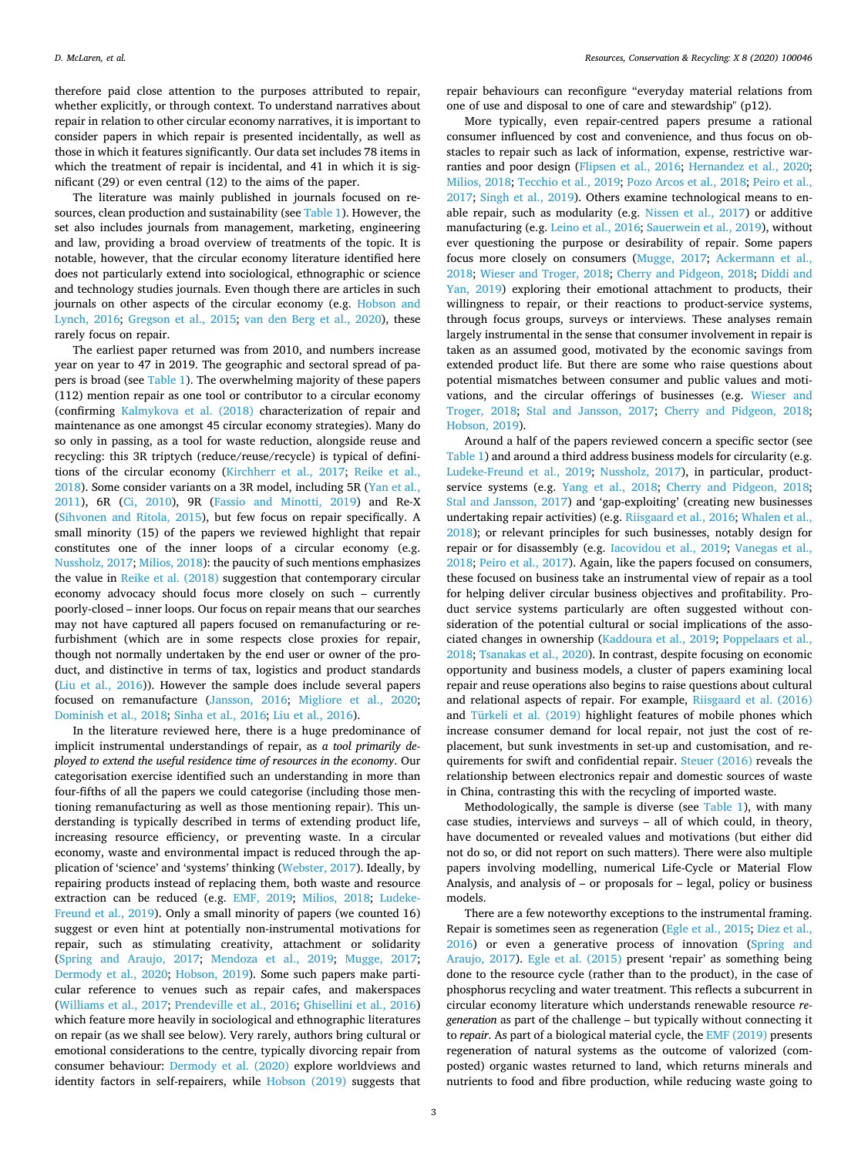therefore paid close attention to the purposes attributed to repair, whether explicitly, or through context. To understand narratives about repair in relation to other circular economy narratives, it is important to consider papers in which repair is presented incidentally, as well as those in which it features significantly. Our data set includes 78 items in which the treatment of repair is incidental, and 41 in which it is significant (29) or even central (12) to the aims of the paper.

The literature was mainly published in journals focused on resources, clean production and sustainability (see [Table 1\)](#page-1-0). However, the set also includes journals from management, marketing, engineering and law, providing a broad overview of treatments of the topic. It is notable, however, that the circular economy literature identified here does not particularly extend into sociological, ethnographic or science and technology studies journals. Even though there are articles in such journals on other aspects of the circular economy (e.g. [Hobson and](#page-9-6) [Lynch, 2016](#page-9-6); [Gregson et al., 2015](#page-9-7); [van den Berg et al., 2020\)](#page-10-3), these rarely focus on repair.

The earliest paper returned was from 2010, and numbers increase year on year to 47 in 2019. The geographic and sectoral spread of papers is broad (see [Table 1\)](#page-1-0). The overwhelming majority of these papers (112) mention repair as one tool or contributor to a circular economy (confirming [Kalmykova et al. \(2018\)](#page-9-8) characterization of repair and maintenance as one amongst 45 circular economy strategies). Many do so only in passing, as a tool for waste reduction, alongside reuse and recycling: this 3R triptych (reduce/reuse/recycle) is typical of definitions of the circular economy [\(Kirchherr et al., 2017;](#page-9-5) [Reike et al.,](#page-9-9) [2018\)](#page-9-9). Some consider variants on a 3R model, including 5R [\(Yan et al.,](#page-10-4) [2011\)](#page-10-4), 6R ([Ci, 2010\)](#page-8-6), 9R ([Fassio and Minotti, 2019\)](#page-8-7) and Re-X ([Sihvonen and Ritola, 2015](#page-10-5)), but few focus on repair specifically. A small minority (15) of the papers we reviewed highlight that repair constitutes one of the inner loops of a circular economy (e.g. [Nussholz, 2017](#page-9-10); [Milios, 2018](#page-9-11)): the paucity of such mentions emphasizes the value in [Reike et al. \(2018\)](#page-9-9) suggestion that contemporary circular economy advocacy should focus more closely on such – currently poorly-closed – inner loops. Our focus on repair means that our searches may not have captured all papers focused on remanufacturing or refurbishment (which are in some respects close proxies for repair, though not normally undertaken by the end user or owner of the product, and distinctive in terms of tax, logistics and product standards ([Liu et al., 2016\)](#page-9-12)). However the sample does include several papers focused on remanufacture [\(Jansson, 2016](#page-9-13); [Migliore et al., 2020](#page-9-14); [Dominish et al., 2018;](#page-8-8) [Sinha et al., 2016;](#page-10-6) [Liu et al., 2016](#page-9-12)).

In the literature reviewed here, there is a huge predominance of implicit instrumental understandings of repair, as *a tool primarily deployed to extend the useful residence time of resources in the economy*. Our categorisation exercise identified such an understanding in more than four-fifths of all the papers we could categorise (including those mentioning remanufacturing as well as those mentioning repair). This understanding is typically described in terms of extending product life, increasing resource efficiency, or preventing waste. In a circular economy, waste and environmental impact is reduced through the application of 'science' and 'systems' thinking ([Webster, 2017\)](#page-10-0). Ideally, by repairing products instead of replacing them, both waste and resource extraction can be reduced (e.g. [EMF, 2019;](#page-8-3) [Milios, 2018](#page-9-11); [Ludeke-](#page-9-15)[Freund et al., 2019\)](#page-9-15). Only a small minority of papers (we counted 16) suggest or even hint at potentially non-instrumental motivations for repair, such as stimulating creativity, attachment or solidarity ([Spring and Araujo, 2017](#page-10-7); [Mendoza et al., 2019](#page-9-16); [Mugge, 2017](#page-9-17); [Dermody et al., 2020](#page-8-9); [Hobson, 2019\)](#page-9-18). Some such papers make particular reference to venues such as repair cafes, and makerspaces ([Williams et al., 2017](#page-10-8); [Prendeville et al., 2016](#page-9-19); [Ghisellini et al., 2016\)](#page-8-10) which feature more heavily in sociological and ethnographic literatures on repair (as we shall see below). Very rarely, authors bring cultural or emotional considerations to the centre, typically divorcing repair from consumer behaviour: [Dermody et al. \(2020\)](#page-8-9) explore worldviews and identity factors in self-repairers, while [Hobson \(2019\)](#page-9-18) suggests that repair behaviours can reconfigure "everyday material relations from one of use and disposal to one of care and stewardship" (p12).

More typically, even repair-centred papers presume a rational consumer influenced by cost and convenience, and thus focus on obstacles to repair such as lack of information, expense, restrictive warranties and poor design ([Flipsen et al., 2016](#page-8-11); [Hernandez et al., 2020](#page-9-20); [Milios, 2018;](#page-9-11) [Tecchio et al., 2019;](#page-10-9) [Pozo Arcos et al., 2018](#page-9-21); [Peiro et al.,](#page-9-22) [2017;](#page-9-22) [Singh et al., 2019\)](#page-10-10). Others examine technological means to enable repair, such as modularity (e.g. [Nissen et al., 2017\)](#page-9-23) or additive manufacturing (e.g. [Leino et al., 2016;](#page-9-24) [Sauerwein et al., 2019\)](#page-9-25), without ever questioning the purpose or desirability of repair. Some papers focus more closely on consumers [\(Mugge, 2017](#page-9-17); [Ackermann et al.,](#page-8-12) [2018;](#page-8-12) [Wieser and Troger, 2018;](#page-10-11) [Cherry and Pidgeon, 2018](#page-8-13); [Diddi and](#page-8-14) [Yan, 2019](#page-8-14)) exploring their emotional attachment to products, their willingness to repair, or their reactions to product-service systems, through focus groups, surveys or interviews. These analyses remain largely instrumental in the sense that consumer involvement in repair is taken as an assumed good, motivated by the economic savings from extended product life. But there are some who raise questions about potential mismatches between consumer and public values and motivations, and the circular offerings of businesses (e.g. [Wieser and](#page-10-11) [Troger, 2018;](#page-10-11) [Stal and Jansson, 2017](#page-10-12); [Cherry and Pidgeon, 2018](#page-8-13); [Hobson, 2019](#page-9-18)).

Around a half of the papers reviewed concern a specific sector (see [Table 1\)](#page-1-0) and around a third address business models for circularity (e.g. [Ludeke-Freund et al., 2019](#page-9-15); [Nussholz, 2017\)](#page-9-10), in particular, productservice systems (e.g. [Yang et al., 2018](#page-10-13); [Cherry and Pidgeon, 2018](#page-8-13); [Stal and Jansson, 2017\)](#page-10-12) and 'gap-exploiting' (creating new businesses undertaking repair activities) (e.g. [Riisgaard et al., 2016;](#page-9-26) [Whalen et al.,](#page-10-14) [2018\)](#page-10-14); or relevant principles for such businesses, notably design for repair or for disassembly (e.g. [Iacovidou et al., 2019;](#page-9-27) [Vanegas et al.,](#page-10-15) [2018;](#page-10-15) [Peiro et al., 2017](#page-9-22)). Again, like the papers focused on consumers, these focused on business take an instrumental view of repair as a tool for helping deliver circular business objectives and profitability. Product service systems particularly are often suggested without consideration of the potential cultural or social implications of the associated changes in ownership ([Kaddoura et al., 2019](#page-9-28); [Poppelaars et al.,](#page-9-29) [2018;](#page-9-29) [Tsanakas et al., 2020\)](#page-10-16). In contrast, despite focusing on economic opportunity and business models, a cluster of papers examining local repair and reuse operations also begins to raise questions about cultural and relational aspects of repair. For example, [Riisgaard et al. \(2016\)](#page-9-26) and [Türkeli et al. \(2019\)](#page-10-17) highlight features of mobile phones which increase consumer demand for local repair, not just the cost of replacement, but sunk investments in set-up and customisation, and requirements for swift and confidential repair. [Steuer \(2016\)](#page-10-18) reveals the relationship between electronics repair and domestic sources of waste in China, contrasting this with the recycling of imported waste.

Methodologically, the sample is diverse (see [Table 1](#page-1-0)), with many case studies, interviews and surveys – all of which could, in theory, have documented or revealed values and motivations (but either did not do so, or did not report on such matters). There were also multiple papers involving modelling, numerical Life-Cycle or Material Flow Analysis, and analysis of – or proposals for – legal, policy or business models.

There are a few noteworthy exceptions to the instrumental framing. Repair is sometimes seen as regeneration [\(Egle et al., 2015](#page-8-15); [Diez et al.,](#page-8-16) [2016\)](#page-8-16) or even a generative process of innovation ([Spring and](#page-10-7) [Araujo, 2017\)](#page-10-7). [Egle et al. \(2015\)](#page-8-15) present 'repair' as something being done to the resource cycle (rather than to the product), in the case of phosphorus recycling and water treatment. This reflects a subcurrent in circular economy literature which understands renewable resource *regeneration* as part of the challenge – but typically without connecting it to *repair*. As part of a biological material cycle, the [EMF \(2019\)](#page-8-3) presents regeneration of natural systems as the outcome of valorized (composted) organic wastes returned to land, which returns minerals and nutrients to food and fibre production, while reducing waste going to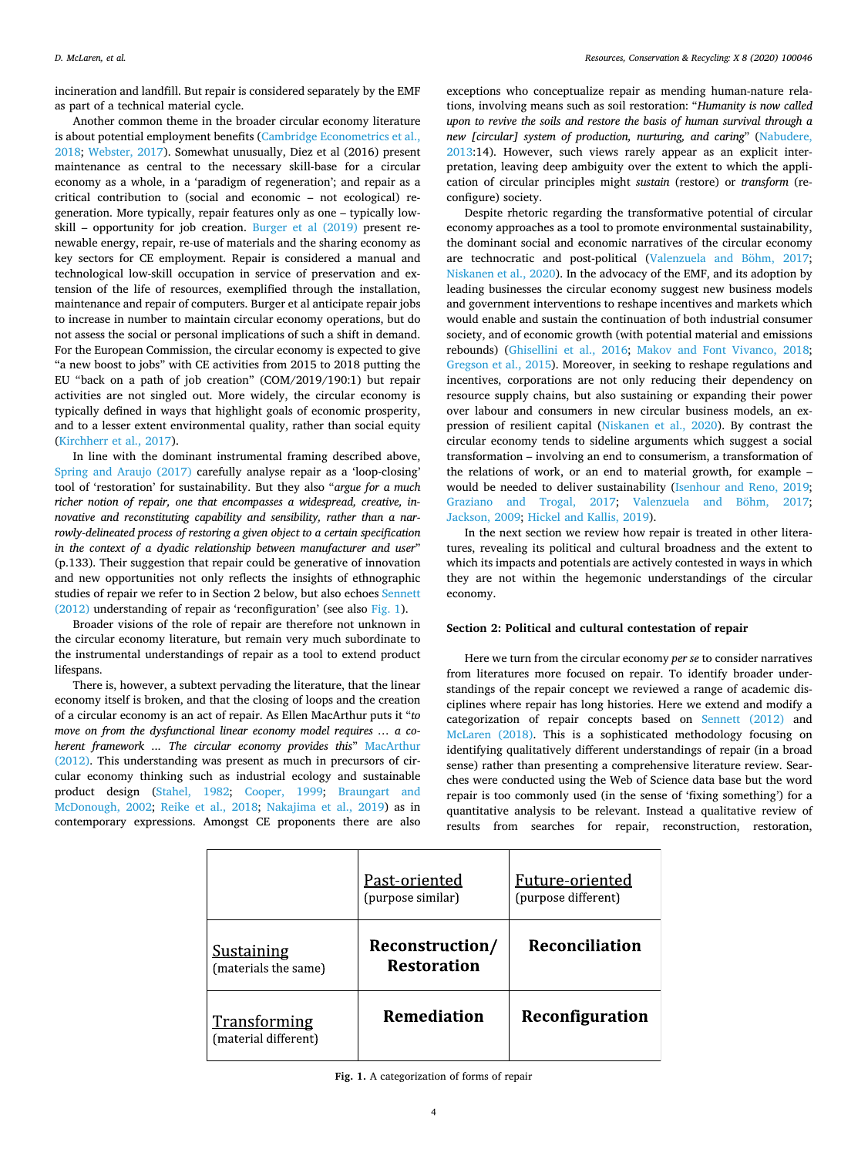incineration and landfill. But repair is considered separately by the EMF as part of a technical material cycle.

Another common theme in the broader circular economy literature is about potential employment benefits [\(Cambridge Econometrics et al.,](#page-8-17) [2018;](#page-8-17) [Webster, 2017](#page-10-0)). Somewhat unusually, Diez et al (2016) present maintenance as central to the necessary skill-base for a circular economy as a whole, in a 'paradigm of regeneration'; and repair as a critical contribution to (social and economic – not ecological) regeneration. More typically, repair features only as one – typically lowskill – opportunity for job creation. [Burger et al \(2019\)](#page-8-18) present renewable energy, repair, re-use of materials and the sharing economy as key sectors for CE employment. Repair is considered a manual and technological low-skill occupation in service of preservation and extension of the life of resources, exemplified through the installation, maintenance and repair of computers. Burger et al anticipate repair jobs to increase in number to maintain circular economy operations, but do not assess the social or personal implications of such a shift in demand. For the European Commission, the circular economy is expected to give "a new boost to jobs" with CE activities from 2015 to 2018 putting the EU "back on a path of job creation" (COM/2019/190:1) but repair activities are not singled out. More widely, the circular economy is typically defined in ways that highlight goals of economic prosperity, and to a lesser extent environmental quality, rather than social equity ([Kirchherr et al., 2017\)](#page-9-5).

In line with the dominant instrumental framing described above, [Spring and Araujo \(2017\)](#page-10-7) carefully analyse repair as a 'loop-closing' tool of 'restoration' for sustainability. But they also "*argue for a much richer notion of repair, one that encompasses a widespread, creative, innovative and reconstituting capability and sensibility, rather than a narrowly-delineated process of restoring a given object to a certain specification in the context of a dyadic relationship between manufacturer and user*" (p.133). Their suggestion that repair could be generative of innovation and new opportunities not only reflects the insights of ethnographic studies of repair we refer to in Section 2 below, but also echoes [Sennett](#page-9-4) [\(2012\)](#page-9-4) understanding of repair as 'reconfiguration' (see also [Fig. 1](#page-3-0)).

Broader visions of the role of repair are therefore not unknown in the circular economy literature, but remain very much subordinate to the instrumental understandings of repair as a tool to extend product lifespans.

There is, however, a subtext pervading the literature, that the linear economy itself is broken, and that the closing of loops and the creation of a circular economy is an act of repair. As Ellen MacArthur puts it "*to move on from the dysfunctional linear economy model requires … a coherent framework ... The circular economy provides this*" [MacArthur](#page-9-30) [\(2012\).](#page-9-30) This understanding was present as much in precursors of circular economy thinking such as industrial ecology and sustainable product design [\(Stahel, 1982](#page-10-19); [Cooper, 1999;](#page-8-19) [Braungart and](#page-8-20) [McDonough, 2002](#page-8-20); [Reike et al., 2018](#page-9-9); [Nakajima et al., 2019\)](#page-9-31) as in contemporary expressions. Amongst CE proponents there are also

exceptions who conceptualize repair as mending human-nature relations, involving means such as soil restoration: "*Humanity is now called upon to revive the soils and restore the basis of human survival through a new [circular] system of production, nurturing, and caring*" [\(Nabudere,](#page-9-32) [2013:](#page-9-32)14). However, such views rarely appear as an explicit interpretation, leaving deep ambiguity over the extent to which the application of circular principles might *sustain* (restore) or *transform* (reconfigure) society.

Despite rhetoric regarding the transformative potential of circular economy approaches as a tool to promote environmental sustainability, the dominant social and economic narratives of the circular economy are technocratic and post-political ([Valenzuela and Böhm, 2017](#page-10-2); [Niskanen et al., 2020](#page-9-2)). In the advocacy of the EMF, and its adoption by leading businesses the circular economy suggest new business models and government interventions to reshape incentives and markets which would enable and sustain the continuation of both industrial consumer society, and of economic growth (with potential material and emissions rebounds) [\(Ghisellini et al., 2016;](#page-8-10) [Makov and Font Vivanco, 2018](#page-9-33); [Gregson et al., 2015](#page-9-7)). Moreover, in seeking to reshape regulations and incentives, corporations are not only reducing their dependency on resource supply chains, but also sustaining or expanding their power over labour and consumers in new circular business models, an expression of resilient capital [\(Niskanen et al., 2020](#page-9-2)). By contrast the circular economy tends to sideline arguments which suggest a social transformation – involving an end to consumerism, a transformation of the relations of work, or an end to material growth, for example – would be needed to deliver sustainability ([Isenhour and Reno, 2019](#page-9-34); [Graziano and Trogal, 2017;](#page-9-35) [Valenzuela and Böhm, 2017](#page-10-2); [Jackson, 2009](#page-9-36); [Hickel and Kallis, 2019](#page-9-37)).

In the next section we review how repair is treated in other literatures, revealing its political and cultural broadness and the extent to which its impacts and potentials are actively contested in ways in which they are not within the hegemonic understandings of the circular economy.

#### **Section 2: Political and cultural contestation of repair**

Here we turn from the circular economy *per se* to consider narratives from literatures more focused on repair. To identify broader understandings of the repair concept we reviewed a range of academic disciplines where repair has long histories. Here we extend and modify a categorization of repair concepts based on [Sennett \(2012\)](#page-9-4) and [McLaren \(2018\).](#page-9-3) This is a sophisticated methodology focusing on identifying qualitatively different understandings of repair (in a broad sense) rather than presenting a comprehensive literature review. Searches were conducted using the Web of Science data base but the word repair is too commonly used (in the sense of 'fixing something') for a quantitative analysis to be relevant. Instead a qualitative review of results from searches for repair, reconstruction, restoration,

<span id="page-3-0"></span>

|                                             | Past-oriented<br>(purpose similar)    | Future-oriented<br>(purpose different) |
|---------------------------------------------|---------------------------------------|----------------------------------------|
| <b>Sustaining</b><br>(materials the same)   | Reconstruction/<br><b>Restoration</b> | Reconciliation                         |
| <b>Transforming</b><br>(material different) | <b>Remediation</b>                    | Reconfiguration                        |

**Fig. 1.** A categorization of forms of repair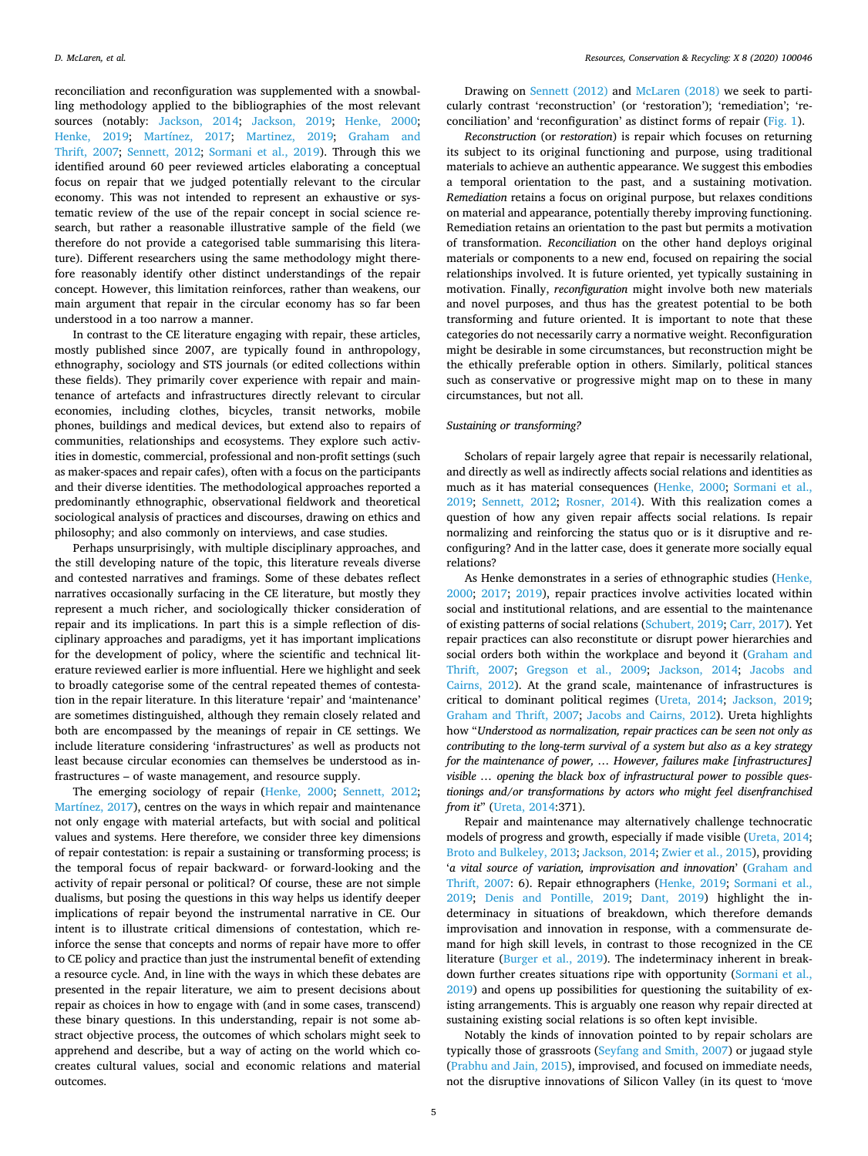reconciliation and reconfiguration was supplemented with a snowballing methodology applied to the bibliographies of the most relevant sources (notably: [Jackson, 2014;](#page-9-38) [Jackson, 2019;](#page-9-39) [Henke, 2000](#page-9-40); [Henke, 2019](#page-9-41); [Martínez, 2017;](#page-9-42) [Martinez, 2019;](#page-9-43) [Graham and](#page-9-44) [Thrift, 2007;](#page-9-44) [Sennett, 2012;](#page-9-4) [Sormani et al., 2019](#page-10-20)). Through this we identified around 60 peer reviewed articles elaborating a conceptual focus on repair that we judged potentially relevant to the circular economy. This was not intended to represent an exhaustive or systematic review of the use of the repair concept in social science research, but rather a reasonable illustrative sample of the field (we therefore do not provide a categorised table summarising this literature). Different researchers using the same methodology might therefore reasonably identify other distinct understandings of the repair concept. However, this limitation reinforces, rather than weakens, our main argument that repair in the circular economy has so far been understood in a too narrow a manner.

In contrast to the CE literature engaging with repair, these articles, mostly published since 2007, are typically found in anthropology, ethnography, sociology and STS journals (or edited collections within these fields). They primarily cover experience with repair and maintenance of artefacts and infrastructures directly relevant to circular economies, including clothes, bicycles, transit networks, mobile phones, buildings and medical devices, but extend also to repairs of communities, relationships and ecosystems. They explore such activities in domestic, commercial, professional and non-profit settings (such as maker-spaces and repair cafes), often with a focus on the participants and their diverse identities. The methodological approaches reported a predominantly ethnographic, observational fieldwork and theoretical sociological analysis of practices and discourses, drawing on ethics and philosophy; and also commonly on interviews, and case studies.

Perhaps unsurprisingly, with multiple disciplinary approaches, and the still developing nature of the topic, this literature reveals diverse and contested narratives and framings. Some of these debates reflect narratives occasionally surfacing in the CE literature, but mostly they represent a much richer, and sociologically thicker consideration of repair and its implications. In part this is a simple reflection of disciplinary approaches and paradigms, yet it has important implications for the development of policy, where the scientific and technical literature reviewed earlier is more influential. Here we highlight and seek to broadly categorise some of the central repeated themes of contestation in the repair literature. In this literature 'repair' and 'maintenance' are sometimes distinguished, although they remain closely related and both are encompassed by the meanings of repair in CE settings. We include literature considering 'infrastructures' as well as products not least because circular economies can themselves be understood as infrastructures – of waste management, and resource supply.

The emerging sociology of repair ([Henke, 2000;](#page-9-40) [Sennett, 2012](#page-9-4); [Martínez, 2017\)](#page-9-42), centres on the ways in which repair and maintenance not only engage with material artefacts, but with social and political values and systems. Here therefore, we consider three key dimensions of repair contestation: is repair a sustaining or transforming process; is the temporal focus of repair backward- or forward-looking and the activity of repair personal or political? Of course, these are not simple dualisms, but posing the questions in this way helps us identify deeper implications of repair beyond the instrumental narrative in CE. Our intent is to illustrate critical dimensions of contestation, which reinforce the sense that concepts and norms of repair have more to offer to CE policy and practice than just the instrumental benefit of extending a resource cycle. And, in line with the ways in which these debates are presented in the repair literature, we aim to present decisions about repair as choices in how to engage with (and in some cases, transcend) these binary questions. In this understanding, repair is not some abstract objective process, the outcomes of which scholars might seek to apprehend and describe, but a way of acting on the world which cocreates cultural values, social and economic relations and material outcomes.

Drawing on [Sennett \(2012\)](#page-9-4) and [McLaren \(2018\)](#page-9-3) we seek to particularly contrast 'reconstruction' (or 'restoration'); 'remediation'; 'reconciliation' and 'reconfiguration' as distinct forms of repair [\(Fig. 1](#page-3-0)).

*Reconstruction* (or *restoration*) is repair which focuses on returning its subject to its original functioning and purpose, using traditional materials to achieve an authentic appearance. We suggest this embodies a temporal orientation to the past, and a sustaining motivation. *Remediation* retains a focus on original purpose, but relaxes conditions on material and appearance, potentially thereby improving functioning. Remediation retains an orientation to the past but permits a motivation of transformation. *Reconciliation* on the other hand deploys original materials or components to a new end, focused on repairing the social relationships involved. It is future oriented, yet typically sustaining in motivation. Finally, *reconfiguration* might involve both new materials and novel purposes, and thus has the greatest potential to be both transforming and future oriented. It is important to note that these categories do not necessarily carry a normative weight. Reconfiguration might be desirable in some circumstances, but reconstruction might be the ethically preferable option in others. Similarly, political stances such as conservative or progressive might map on to these in many circumstances, but not all.

## *Sustaining or transforming?*

Scholars of repair largely agree that repair is necessarily relational, and directly as well as indirectly affects social relations and identities as much as it has material consequences ([Henke, 2000;](#page-9-40) [Sormani et al.,](#page-10-20) [2019;](#page-10-20) [Sennett, 2012](#page-9-4); [Rosner, 2014](#page-9-45)). With this realization comes a question of how any given repair affects social relations. Is repair normalizing and reinforcing the status quo or is it disruptive and reconfiguring? And in the latter case, does it generate more socially equal relations?

As Henke demonstrates in a series of ethnographic studies ([Henke,](#page-9-40) [2000;](#page-9-40) [2017](#page-9-46); [2019](#page-9-41)), repair practices involve activities located within social and institutional relations, and are essential to the maintenance of existing patterns of social relations [\(Schubert, 2019;](#page-9-47) [Carr, 2017\)](#page-8-21). Yet repair practices can also reconstitute or disrupt power hierarchies and social orders both within the workplace and beyond it [\(Graham and](#page-9-44) [Thrift, 2007](#page-9-44); [Gregson et al., 2009;](#page-9-48) [Jackson, 2014;](#page-9-38) [Jacobs and](#page-9-49) [Cairns, 2012](#page-9-49)). At the grand scale, maintenance of infrastructures is critical to dominant political regimes ([Ureta, 2014;](#page-10-21) [Jackson, 2019](#page-9-39); [Graham and Thrift, 2007;](#page-9-44) [Jacobs and Cairns, 2012\)](#page-9-49). Ureta highlights how "*Understood as normalization, repair practices can be seen not only as contributing to the long-term survival of a system but also as a key strategy for the maintenance of power, … However, failures make [infrastructures] visible … opening the black box of infrastructural power to possible questionings and/or transformations by actors who might feel disenfranchised from it*" ([Ureta, 2014](#page-10-21):371).

Repair and maintenance may alternatively challenge technocratic models of progress and growth, especially if made visible ([Ureta, 2014](#page-10-21); [Broto and Bulkeley, 2013;](#page-8-22) [Jackson, 2014](#page-9-38); [Zwier et al., 2015](#page-10-22)), providing '*a vital source of variation, improvisation and innovation*' ([Graham and](#page-9-44) [Thrift, 2007](#page-9-44): 6). Repair ethnographers [\(Henke, 2019;](#page-9-41) [Sormani et al.,](#page-10-20) [2019;](#page-10-20) [Denis and Pontille, 2019;](#page-8-23) [Dant, 2019](#page-8-24)) highlight the indeterminacy in situations of breakdown, which therefore demands improvisation and innovation in response, with a commensurate demand for high skill levels, in contrast to those recognized in the CE literature ([Burger et al., 2019\)](#page-8-18). The indeterminacy inherent in breakdown further creates situations ripe with opportunity ([Sormani et al.,](#page-10-20) [2019\)](#page-10-20) and opens up possibilities for questioning the suitability of existing arrangements. This is arguably one reason why repair directed at sustaining existing social relations is so often kept invisible.

Notably the kinds of innovation pointed to by repair scholars are typically those of grassroots ([Seyfang and Smith, 2007\)](#page-9-50) or jugaad style ([Prabhu and Jain, 2015\)](#page-9-51), improvised, and focused on immediate needs, not the disruptive innovations of Silicon Valley (in its quest to 'move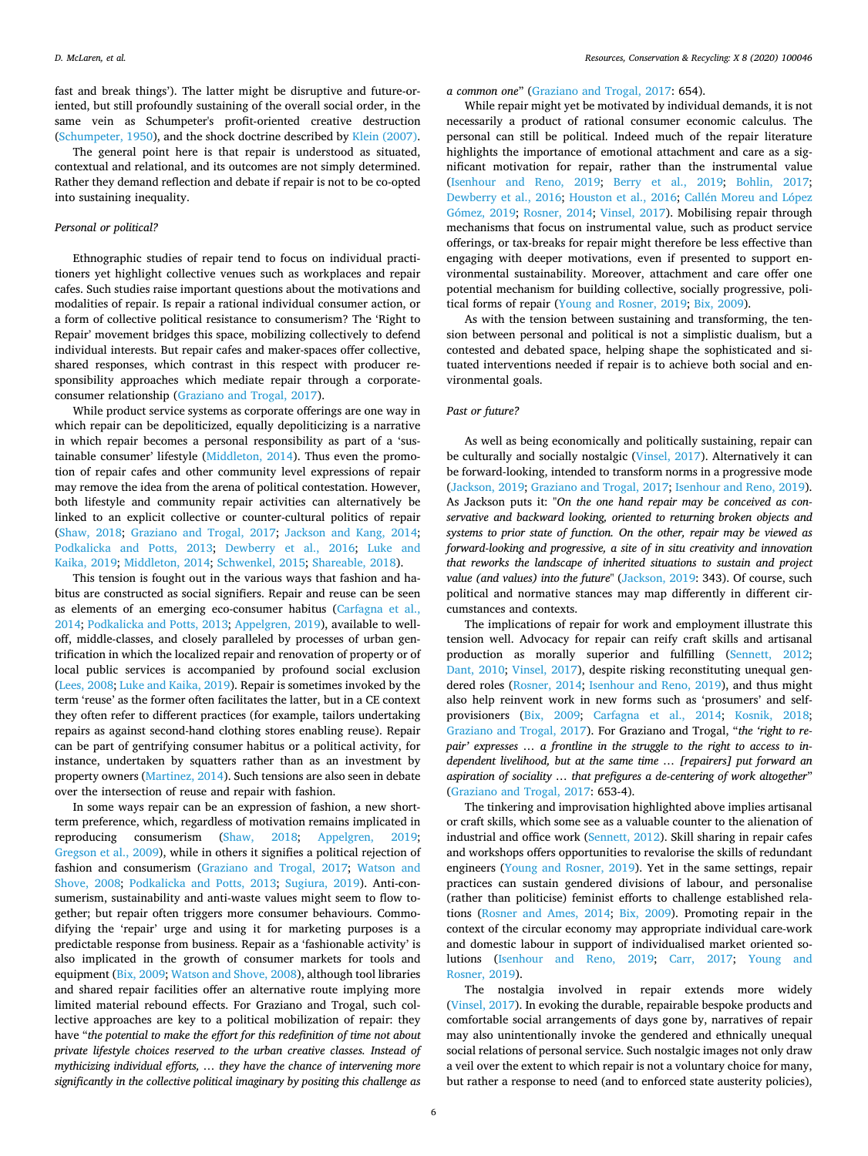fast and break things'). The latter might be disruptive and future-oriented, but still profoundly sustaining of the overall social order, in the same vein as Schumpeter's profit-oriented creative destruction ([Schumpeter, 1950\)](#page-9-52), and the shock doctrine described by [Klein \(2007\)](#page-9-53).

The general point here is that repair is understood as situated, contextual and relational, and its outcomes are not simply determined. Rather they demand reflection and debate if repair is not to be co-opted into sustaining inequality.

## *Personal or political?*

Ethnographic studies of repair tend to focus on individual practitioners yet highlight collective venues such as workplaces and repair cafes. Such studies raise important questions about the motivations and modalities of repair. Is repair a rational individual consumer action, or a form of collective political resistance to consumerism? The 'Right to Repair' movement bridges this space, mobilizing collectively to defend individual interests. But repair cafes and maker-spaces offer collective, shared responses, which contrast in this respect with producer responsibility approaches which mediate repair through a corporateconsumer relationship [\(Graziano and Trogal, 2017\)](#page-9-35).

While product service systems as corporate offerings are one way in which repair can be depoliticized, equally depoliticizing is a narrative in which repair becomes a personal responsibility as part of a 'sustainable consumer' lifestyle ([Middleton, 2014](#page-9-54)). Thus even the promotion of repair cafes and other community level expressions of repair may remove the idea from the arena of political contestation. However, both lifestyle and community repair activities can alternatively be linked to an explicit collective or counter-cultural politics of repair ([Shaw, 2018;](#page-9-55) [Graziano and Trogal, 2017](#page-9-35); [Jackson and Kang, 2014](#page-9-56); [Podkalicka and Potts, 2013](#page-9-57); [Dewberry et al., 2016;](#page-8-25) [Luke and](#page-9-58) [Kaika, 2019](#page-9-58); [Middleton, 2014](#page-9-54); [Schwenkel, 2015;](#page-9-59) [Shareable, 2018\)](#page-9-60).

This tension is fought out in the various ways that fashion and habitus are constructed as social signifiers. Repair and reuse can be seen as elements of an emerging eco-consumer habitus [\(Carfagna et al.,](#page-8-26) [2014;](#page-8-26) [Podkalicka and Potts, 2013;](#page-9-57) [Appelgren, 2019](#page-8-27)), available to welloff, middle-classes, and closely paralleled by processes of urban gentrification in which the localized repair and renovation of property or of local public services is accompanied by profound social exclusion ([Lees, 2008;](#page-9-61) [Luke and Kaika, 2019\)](#page-9-58). Repair is sometimes invoked by the term 'reuse' as the former often facilitates the latter, but in a CE context they often refer to different practices (for example, tailors undertaking repairs as against second-hand clothing stores enabling reuse). Repair can be part of gentrifying consumer habitus or a political activity, for instance, undertaken by squatters rather than as an investment by property owners ([Martinez, 2014](#page-9-62)). Such tensions are also seen in debate over the intersection of reuse and repair with fashion.

In some ways repair can be an expression of fashion, a new shortterm preference, which, regardless of motivation remains implicated in reproducing consumerism [\(Shaw, 2018](#page-9-55); [Appelgren, 2019](#page-8-27); [Gregson et al., 2009\)](#page-9-48), while in others it signifies a political rejection of fashion and consumerism [\(Graziano and Trogal, 2017;](#page-9-35) [Watson and](#page-10-23) [Shove, 2008;](#page-10-23) [Podkalicka and Potts, 2013;](#page-9-57) [Sugiura, 2019\)](#page-10-24). Anti-consumerism, sustainability and anti-waste values might seem to flow together; but repair often triggers more consumer behaviours. Commodifying the 'repair' urge and using it for marketing purposes is a predictable response from business. Repair as a 'fashionable activity' is also implicated in the growth of consumer markets for tools and equipment [\(Bix, 2009](#page-8-28); [Watson and Shove, 2008\)](#page-10-23), although tool libraries and shared repair facilities offer an alternative route implying more limited material rebound effects. For Graziano and Trogal, such collective approaches are key to a political mobilization of repair: they have "*the potential to make the effort for this redefinition of time not about private lifestyle choices reserved to the urban creative classes. Instead of mythicizing individual efforts, … they have the chance of intervening more significantly in the collective political imaginary by positing this challenge as*

## *a common one*" [\(Graziano and Trogal, 2017:](#page-9-35) 654).

While repair might yet be motivated by individual demands, it is not necessarily a product of rational consumer economic calculus. The personal can still be political. Indeed much of the repair literature highlights the importance of emotional attachment and care as a significant motivation for repair, rather than the instrumental value ([Isenhour and Reno, 2019](#page-9-34); [Berry et al., 2019](#page-8-29); [Bohlin, 2017](#page-8-30); [Dewberry et al., 2016;](#page-8-25) [Houston et al., 2016;](#page-9-63) [Callén Moreu and López](#page-8-31) [Gómez, 2019](#page-8-31); [Rosner, 2014;](#page-9-45) [Vinsel, 2017\)](#page-10-25). Mobilising repair through mechanisms that focus on instrumental value, such as product service offerings, or tax-breaks for repair might therefore be less effective than engaging with deeper motivations, even if presented to support environmental sustainability. Moreover, attachment and care offer one potential mechanism for building collective, socially progressive, political forms of repair [\(Young and Rosner, 2019](#page-10-26); [Bix, 2009\)](#page-8-28).

As with the tension between sustaining and transforming, the tension between personal and political is not a simplistic dualism, but a contested and debated space, helping shape the sophisticated and situated interventions needed if repair is to achieve both social and environmental goals.

## *Past or future?*

As well as being economically and politically sustaining, repair can be culturally and socially nostalgic ([Vinsel, 2017](#page-10-25)). Alternatively it can be forward-looking, intended to transform norms in a progressive mode ([Jackson, 2019;](#page-9-39) [Graziano and Trogal, 2017](#page-9-35); [Isenhour and Reno, 2019](#page-9-34)). As Jackson puts it: "*On the one hand repair may be conceived as conservative and backward looking, oriented to returning broken objects and systems to prior state of function. On the other, repair may be viewed as forward-looking and progressive, a site of in situ creativity and innovation that reworks the landscape of inherited situations to sustain and project value (and values) into the future*" ([Jackson, 2019:](#page-9-39) 343). Of course, such political and normative stances may map differently in different circumstances and contexts.

The implications of repair for work and employment illustrate this tension well. Advocacy for repair can reify craft skills and artisanal production as morally superior and fulfilling [\(Sennett, 2012](#page-9-4); [Dant, 2010;](#page-8-32) [Vinsel, 2017](#page-10-25)), despite risking reconstituting unequal gendered roles [\(Rosner, 2014](#page-9-45); [Isenhour and Reno, 2019](#page-9-34)), and thus might also help reinvent work in new forms such as 'prosumers' and selfprovisioners ([Bix, 2009](#page-8-28); [Carfagna et al., 2014](#page-8-26); [Kosnik, 2018](#page-9-64); [Graziano and Trogal, 2017\)](#page-9-35). For Graziano and Trogal, "*the 'right to repair' expresses … a frontline in the struggle to the right to access to independent livelihood, but at the same time … [repairers] put forward an aspiration of sociality … that prefigures a de-centering of work altogether*" ([Graziano and Trogal, 2017](#page-9-35): 653-4).

The tinkering and improvisation highlighted above implies artisanal or craft skills, which some see as a valuable counter to the alienation of industrial and office work ([Sennett, 2012](#page-9-4)). Skill sharing in repair cafes and workshops offers opportunities to revalorise the skills of redundant engineers [\(Young and Rosner, 2019\)](#page-10-26). Yet in the same settings, repair practices can sustain gendered divisions of labour, and personalise (rather than politicise) feminist efforts to challenge established relations ([Rosner and Ames, 2014](#page-9-65); [Bix, 2009\)](#page-8-28). Promoting repair in the context of the circular economy may appropriate individual care-work and domestic labour in support of individualised market oriented solutions ([Isenhour and Reno, 2019;](#page-9-34) [Carr, 2017](#page-8-21); [Young and](#page-10-26) [Rosner, 2019\)](#page-10-26).

The nostalgia involved in repair extends more widely ([Vinsel, 2017](#page-10-25)). In evoking the durable, repairable bespoke products and comfortable social arrangements of days gone by, narratives of repair may also unintentionally invoke the gendered and ethnically unequal social relations of personal service. Such nostalgic images not only draw a veil over the extent to which repair is not a voluntary choice for many, but rather a response to need (and to enforced state austerity policies),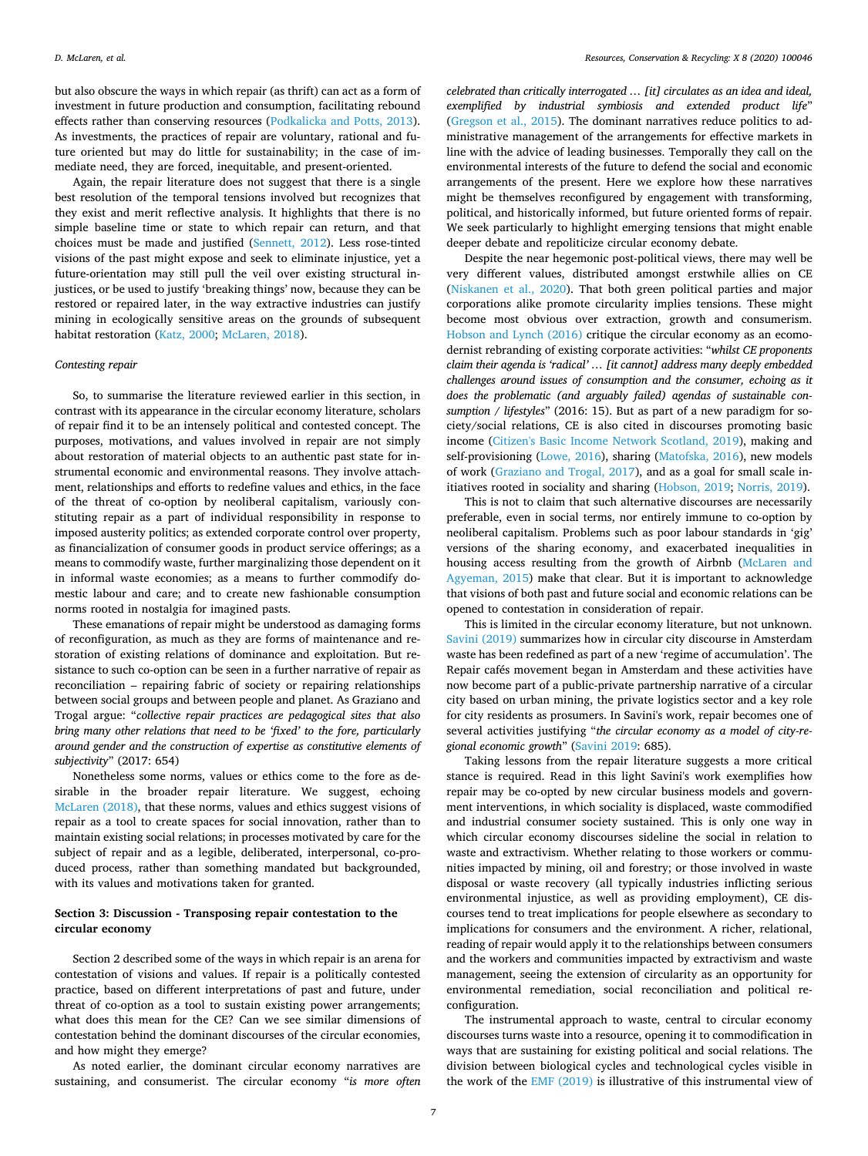but also obscure the ways in which repair (as thrift) can act as a form of investment in future production and consumption, facilitating rebound effects rather than conserving resources ([Podkalicka and Potts, 2013](#page-9-57)). As investments, the practices of repair are voluntary, rational and future oriented but may do little for sustainability; in the case of immediate need, they are forced, inequitable, and present-oriented.

Again, the repair literature does not suggest that there is a single best resolution of the temporal tensions involved but recognizes that they exist and merit reflective analysis. It highlights that there is no simple baseline time or state to which repair can return, and that choices must be made and justified ([Sennett, 2012](#page-9-4)). Less rose-tinted visions of the past might expose and seek to eliminate injustice, yet a future-orientation may still pull the veil over existing structural injustices, or be used to justify 'breaking things' now, because they can be restored or repaired later, in the way extractive industries can justify mining in ecologically sensitive areas on the grounds of subsequent habitat restoration [\(Katz, 2000;](#page-9-66) [McLaren, 2018\)](#page-9-3).

#### *Contesting repair*

So, to summarise the literature reviewed earlier in this section, in contrast with its appearance in the circular economy literature, scholars of repair find it to be an intensely political and contested concept. The purposes, motivations, and values involved in repair are not simply about restoration of material objects to an authentic past state for instrumental economic and environmental reasons. They involve attachment, relationships and efforts to redefine values and ethics, in the face of the threat of co-option by neoliberal capitalism, variously constituting repair as a part of individual responsibility in response to imposed austerity politics; as extended corporate control over property, as financialization of consumer goods in product service offerings; as a means to commodify waste, further marginalizing those dependent on it in informal waste economies; as a means to further commodify domestic labour and care; and to create new fashionable consumption norms rooted in nostalgia for imagined pasts.

These emanations of repair might be understood as damaging forms of reconfiguration, as much as they are forms of maintenance and restoration of existing relations of dominance and exploitation. But resistance to such co-option can be seen in a further narrative of repair as reconciliation – repairing fabric of society or repairing relationships between social groups and between people and planet. As Graziano and Trogal argue: "*collective repair practices are pedagogical sites that also bring many other relations that need to be 'fixed' to the fore, particularly around gender and the construction of expertise as constitutive elements of subjectivity*" (2017: 654)

Nonetheless some norms, values or ethics come to the fore as desirable in the broader repair literature. We suggest, echoing [McLaren \(2018\),](#page-9-3) that these norms, values and ethics suggest visions of repair as a tool to create spaces for social innovation, rather than to maintain existing social relations; in processes motivated by care for the subject of repair and as a legible, deliberated, interpersonal, co-produced process, rather than something mandated but backgrounded, with its values and motivations taken for granted.

## **Section 3: Discussion - Transposing repair contestation to the circular economy**

Section 2 described some of the ways in which repair is an arena for contestation of visions and values. If repair is a politically contested practice, based on different interpretations of past and future, under threat of co-option as a tool to sustain existing power arrangements; what does this mean for the CE? Can we see similar dimensions of contestation behind the dominant discourses of the circular economies, and how might they emerge?

As noted earlier, the dominant circular economy narratives are sustaining, and consumerist. The circular economy "*is more often* *celebrated than critically interrogated … [it] circulates as an idea and ideal, exemplified by industrial symbiosis and extended product life*" ([Gregson et al., 2015](#page-9-7)). The dominant narratives reduce politics to administrative management of the arrangements for effective markets in line with the advice of leading businesses. Temporally they call on the environmental interests of the future to defend the social and economic arrangements of the present. Here we explore how these narratives might be themselves reconfigured by engagement with transforming, political, and historically informed, but future oriented forms of repair. We seek particularly to highlight emerging tensions that might enable deeper debate and repoliticize circular economy debate.

Despite the near hegemonic post-political views, there may well be very different values, distributed amongst erstwhile allies on CE ([Niskanen et al., 2020\)](#page-9-2). That both green political parties and major corporations alike promote circularity implies tensions. These might become most obvious over extraction, growth and consumerism. [Hobson and Lynch \(2016\)](#page-9-6) critique the circular economy as an ecomodernist rebranding of existing corporate activities: "*whilst CE proponents claim their agenda is 'radical' … [it cannot] address many deeply embedded challenges around issues of consumption and the consumer, echoing as it does the problematic (and arguably failed) agendas of sustainable consumption / lifestyles*" (2016: 15). But as part of a new paradigm for society/social relations, CE is also cited in discourses promoting basic income [\(Citizen's Basic Income Network Scotland, 2019](#page-8-33)), making and self-provisioning ([Lowe, 2016\)](#page-9-67), sharing [\(Matofska, 2016](#page-9-68)), new models of work ([Graziano and Trogal, 2017\)](#page-9-35), and as a goal for small scale initiatives rooted in sociality and sharing ([Hobson, 2019](#page-9-18); [Norris, 2019](#page-9-69)).

This is not to claim that such alternative discourses are necessarily preferable, even in social terms, nor entirely immune to co-option by neoliberal capitalism. Problems such as poor labour standards in 'gig' versions of the sharing economy, and exacerbated inequalities in housing access resulting from the growth of Airbnb ([McLaren and](#page-9-70) [Agyeman, 2015\)](#page-9-70) make that clear. But it is important to acknowledge that visions of both past and future social and economic relations can be opened to contestation in consideration of repair.

This is limited in the circular economy literature, but not unknown. [Savini \(2019\)](#page-9-1) summarizes how in circular city discourse in Amsterdam waste has been redefined as part of a new 'regime of accumulation'. The Repair cafés movement began in Amsterdam and these activities have now become part of a public-private partnership narrative of a circular city based on urban mining, the private logistics sector and a key role for city residents as prosumers. In Savini's work, repair becomes one of several activities justifying "*the circular economy as a model of city-regional economic growth*" ([Savini 2019](#page-9-1): 685).

Taking lessons from the repair literature suggests a more critical stance is required. Read in this light Savini's work exemplifies how repair may be co-opted by new circular business models and government interventions, in which sociality is displaced, waste commodified and industrial consumer society sustained. This is only one way in which circular economy discourses sideline the social in relation to waste and extractivism. Whether relating to those workers or communities impacted by mining, oil and forestry; or those involved in waste disposal or waste recovery (all typically industries inflicting serious environmental injustice, as well as providing employment), CE discourses tend to treat implications for people elsewhere as secondary to implications for consumers and the environment. A richer, relational, reading of repair would apply it to the relationships between consumers and the workers and communities impacted by extractivism and waste management, seeing the extension of circularity as an opportunity for environmental remediation, social reconciliation and political reconfiguration.

The instrumental approach to waste, central to circular economy discourses turns waste into a resource, opening it to commodification in ways that are sustaining for existing political and social relations. The division between biological cycles and technological cycles visible in the work of the [EMF \(2019\)](#page-8-3) is illustrative of this instrumental view of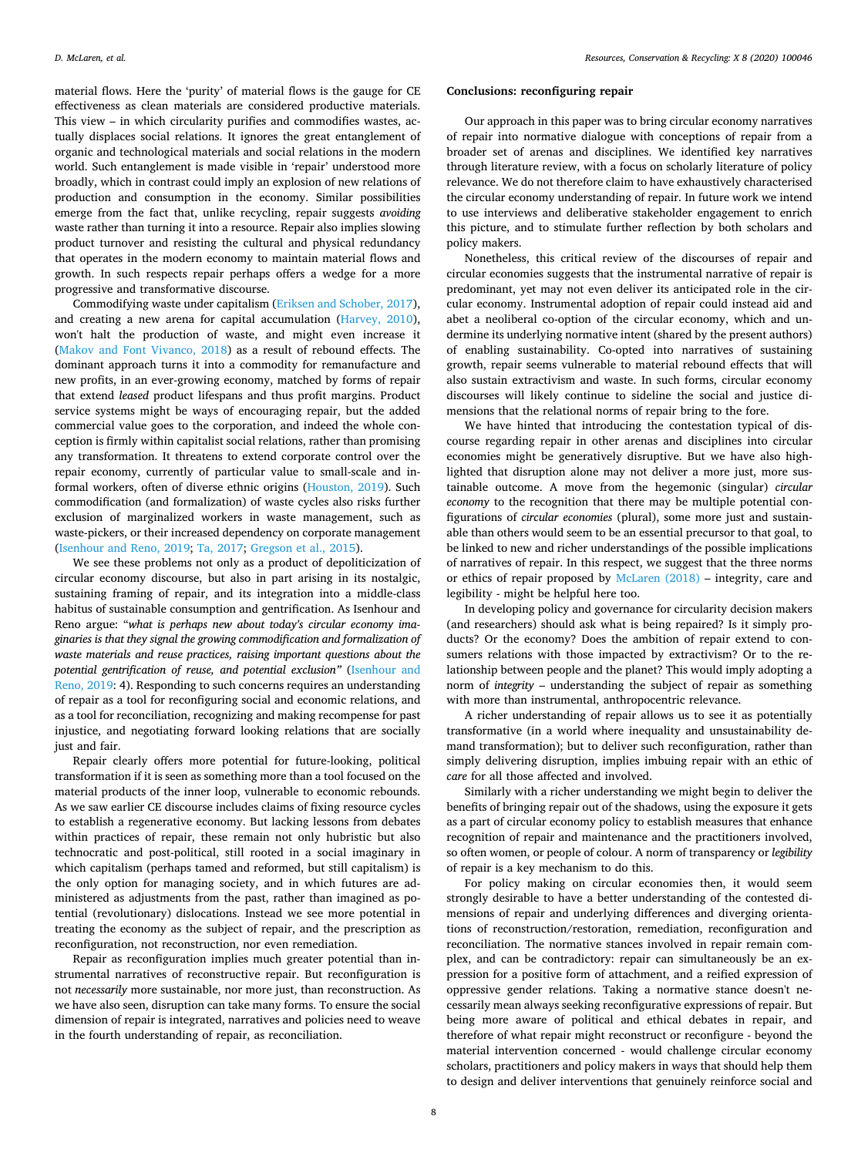**Conclusions: reconfiguring repair**

Our approach in this paper was to bring circular economy narratives of repair into normative dialogue with conceptions of repair from a broader set of arenas and disciplines. We identified key narratives through literature review, with a focus on scholarly literature of policy relevance. We do not therefore claim to have exhaustively characterised the circular economy understanding of repair. In future work we intend to use interviews and deliberative stakeholder engagement to enrich this picture, and to stimulate further reflection by both scholars and policy makers.

Nonetheless, this critical review of the discourses of repair and circular economies suggests that the instrumental narrative of repair is predominant, yet may not even deliver its anticipated role in the circular economy. Instrumental adoption of repair could instead aid and abet a neoliberal co-option of the circular economy, which and undermine its underlying normative intent (shared by the present authors) of enabling sustainability. Co-opted into narratives of sustaining growth, repair seems vulnerable to material rebound effects that will also sustain extractivism and waste. In such forms, circular economy discourses will likely continue to sideline the social and justice dimensions that the relational norms of repair bring to the fore.

We have hinted that introducing the contestation typical of discourse regarding repair in other arenas and disciplines into circular economies might be generatively disruptive. But we have also highlighted that disruption alone may not deliver a more just, more sustainable outcome. A move from the hegemonic (singular) *circular economy* to the recognition that there may be multiple potential configurations of *circular economies* (plural), some more just and sustainable than others would seem to be an essential precursor to that goal, to be linked to new and richer understandings of the possible implications of narratives of repair. In this respect, we suggest that the three norms or ethics of repair proposed by [McLaren \(2018\)](#page-9-3) – integrity, care and legibility - might be helpful here too.

In developing policy and governance for circularity decision makers (and researchers) should ask what is being repaired? Is it simply products? Or the economy? Does the ambition of repair extend to consumers relations with those impacted by extractivism? Or to the relationship between people and the planet? This would imply adopting a norm of *integrity* – understanding the subject of repair as something with more than instrumental, anthropocentric relevance.

A richer understanding of repair allows us to see it as potentially transformative (in a world where inequality and unsustainability demand transformation); but to deliver such reconfiguration, rather than simply delivering disruption, implies imbuing repair with an ethic of *care* for all those affected and involved.

Similarly with a richer understanding we might begin to deliver the benefits of bringing repair out of the shadows, using the exposure it gets as a part of circular economy policy to establish measures that enhance recognition of repair and maintenance and the practitioners involved, so often women, or people of colour. A norm of transparency or *legibility* of repair is a key mechanism to do this.

For policy making on circular economies then, it would seem strongly desirable to have a better understanding of the contested dimensions of repair and underlying differences and diverging orientations of reconstruction/restoration, remediation, reconfiguration and reconciliation. The normative stances involved in repair remain complex, and can be contradictory: repair can simultaneously be an expression for a positive form of attachment, and a reified expression of oppressive gender relations. Taking a normative stance doesn't necessarily mean always seeking reconfigurative expressions of repair. But being more aware of political and ethical debates in repair, and therefore of what repair might reconstruct or reconfigure - beyond the material intervention concerned - would challenge circular economy scholars, practitioners and policy makers in ways that should help them to design and deliver interventions that genuinely reinforce social and

material flows. Here the 'purity' of material flows is the gauge for CE effectiveness as clean materials are considered productive materials. This view – in which circularity purifies and commodifies wastes, actually displaces social relations. It ignores the great entanglement of organic and technological materials and social relations in the modern world. Such entanglement is made visible in 'repair' understood more broadly, which in contrast could imply an explosion of new relations of production and consumption in the economy. Similar possibilities emerge from the fact that, unlike recycling, repair suggests *avoiding* waste rather than turning it into a resource. Repair also implies slowing product turnover and resisting the cultural and physical redundancy that operates in the modern economy to maintain material flows and growth. In such respects repair perhaps offers a wedge for a more progressive and transformative discourse.

Commodifying waste under capitalism ([Eriksen and Schober, 2017](#page-8-34)), and creating a new arena for capital accumulation ([Harvey, 2010](#page-9-71)), won't halt the production of waste, and might even increase it ([Makov and Font Vivanco, 2018\)](#page-9-33) as a result of rebound effects. The dominant approach turns it into a commodity for remanufacture and new profits, in an ever-growing economy, matched by forms of repair that extend *leased* product lifespans and thus profit margins. Product service systems might be ways of encouraging repair, but the added commercial value goes to the corporation, and indeed the whole conception is firmly within capitalist social relations, rather than promising any transformation. It threatens to extend corporate control over the repair economy, currently of particular value to small-scale and informal workers, often of diverse ethnic origins ([Houston, 2019\)](#page-9-72). Such commodification (and formalization) of waste cycles also risks further exclusion of marginalized workers in waste management, such as waste-pickers, or their increased dependency on corporate management ([Isenhour and Reno, 2019;](#page-9-34) [Ta, 2017](#page-10-27); [Gregson et al., 2015](#page-9-7)).

We see these problems not only as a product of depoliticization of circular economy discourse, but also in part arising in its nostalgic, sustaining framing of repair, and its integration into a middle-class habitus of sustainable consumption and gentrification. As Isenhour and Reno argue: "*what is perhaps new about today's circular economy imaginaries is that they signal the growing commodification and formalization of waste materials and reuse practices, raising important questions about the potential gentrification of reuse, and potential exclusion"* [\(Isenhour and](#page-9-34) [Reno, 2019:](#page-9-34) 4). Responding to such concerns requires an understanding of repair as a tool for reconfiguring social and economic relations, and as a tool for reconciliation, recognizing and making recompense for past injustice, and negotiating forward looking relations that are socially just and fair.

Repair clearly offers more potential for future-looking, political transformation if it is seen as something more than a tool focused on the material products of the inner loop, vulnerable to economic rebounds. As we saw earlier CE discourse includes claims of fixing resource cycles to establish a regenerative economy. But lacking lessons from debates within practices of repair, these remain not only hubristic but also technocratic and post-political, still rooted in a social imaginary in which capitalism (perhaps tamed and reformed, but still capitalism) is the only option for managing society, and in which futures are administered as adjustments from the past, rather than imagined as potential (revolutionary) dislocations. Instead we see more potential in treating the economy as the subject of repair, and the prescription as reconfiguration, not reconstruction, nor even remediation.

Repair as reconfiguration implies much greater potential than instrumental narratives of reconstructive repair. But reconfiguration is not *necessarily* more sustainable, nor more just, than reconstruction. As we have also seen, disruption can take many forms. To ensure the social dimension of repair is integrated, narratives and policies need to weave in the fourth understanding of repair, as reconciliation.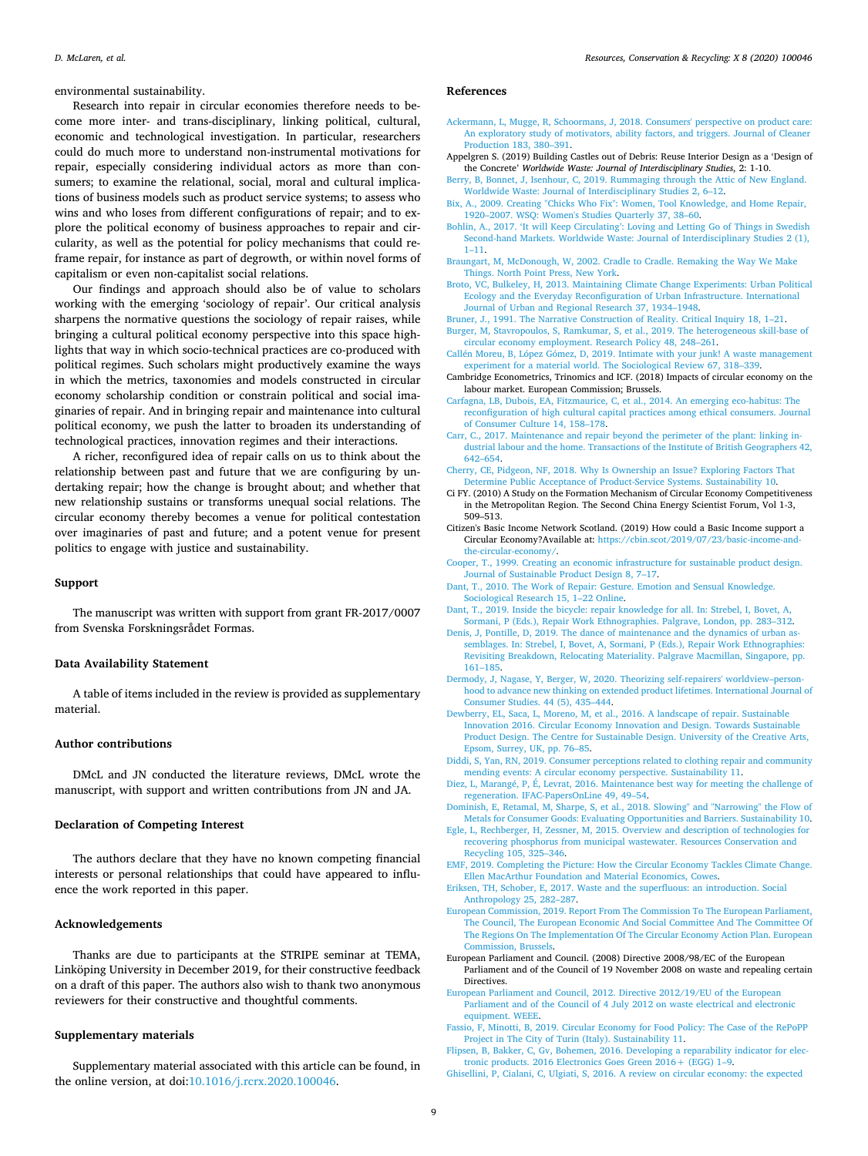environmental sustainability.

Research into repair in circular economies therefore needs to become more inter- and trans-disciplinary, linking political, cultural, economic and technological investigation. In particular, researchers could do much more to understand non-instrumental motivations for repair, especially considering individual actors as more than consumers; to examine the relational, social, moral and cultural implications of business models such as product service systems; to assess who wins and who loses from different configurations of repair; and to explore the political economy of business approaches to repair and circularity, as well as the potential for policy mechanisms that could reframe repair, for instance as part of degrowth, or within novel forms of capitalism or even non-capitalist social relations.

Our findings and approach should also be of value to scholars working with the emerging 'sociology of repair'. Our critical analysis sharpens the normative questions the sociology of repair raises, while bringing a cultural political economy perspective into this space highlights that way in which socio-technical practices are co-produced with political regimes. Such scholars might productively examine the ways in which the metrics, taxonomies and models constructed in circular economy scholarship condition or constrain political and social imaginaries of repair. And in bringing repair and maintenance into cultural political economy, we push the latter to broaden its understanding of technological practices, innovation regimes and their interactions.

A richer, reconfigured idea of repair calls on us to think about the relationship between past and future that we are configuring by undertaking repair; how the change is brought about; and whether that new relationship sustains or transforms unequal social relations. The circular economy thereby becomes a venue for political contestation over imaginaries of past and future; and a potent venue for present politics to engage with justice and sustainability.

#### **Support**

The manuscript was written with support from grant FR-2017/0007 from Svenska Forskningsrådet Formas.

## **Data Availability Statement**

A table of items included in the review is provided as supplementary material.

## **Author contributions**

DMcL and JN conducted the literature reviews, DMcL wrote the manuscript, with support and written contributions from JN and JA.

#### **Declaration of Competing Interest**

The authors declare that they have no known competing financial interests or personal relationships that could have appeared to influence the work reported in this paper.

## **Acknowledgements**

Thanks are due to participants at the STRIPE seminar at TEMA, Linköping University in December 2019, for their constructive feedback on a draft of this paper. The authors also wish to thank two anonymous reviewers for their constructive and thoughtful comments.

#### <span id="page-8-4"></span>**Supplementary materials**

Supplementary material associated with this article can be found, in the online version, at doi:[10.1016/j.rcrx.2020.100046.](https://doi.org/10.1016/j.rcrx.2020.100046)

## **References**

- <span id="page-8-12"></span>[Ackermann, L, Mugge, R, Schoormans, J, 2018. Consumers' perspective on product care:](http://refhub.elsevier.com/S2590-289X(20)30017-7/sbref0001) [An exploratory study of motivators, ability factors, and triggers. Journal of Cleaner](http://refhub.elsevier.com/S2590-289X(20)30017-7/sbref0001) [Production 183, 380–391](http://refhub.elsevier.com/S2590-289X(20)30017-7/sbref0001).
- <span id="page-8-27"></span>Appelgren S. (2019) Building Castles out of Debris: Reuse Interior Design as a 'Design of the Concrete' *Worldwide Waste: Journal of Interdisciplinary Studies*, 2: 1-10.
- <span id="page-8-29"></span>[Berry, B, Bonnet, J, Isenhour, C, 2019. Rummaging through the Attic of New England.](http://refhub.elsevier.com/S2590-289X(20)30017-7/sbref0003) [Worldwide Waste: Journal of Interdisciplinary Studies 2, 6–12](http://refhub.elsevier.com/S2590-289X(20)30017-7/sbref0003).
- <span id="page-8-28"></span>[Bix, A., 2009. Creating "Chicks Who Fix": Women, Tool Knowledge, and Home Repair,](http://refhub.elsevier.com/S2590-289X(20)30017-7/sbref0004) [1920–2007. WSQ: Women's Studies Quarterly 37, 38–60.](http://refhub.elsevier.com/S2590-289X(20)30017-7/sbref0004)
- <span id="page-8-30"></span>[Bohlin, A., 2017. 'It will Keep Circulating': Loving and Letting Go of Things in Swedish](http://refhub.elsevier.com/S2590-289X(20)30017-7/sbref0005) [Second-hand Markets. Worldwide Waste: Journal of Interdisciplinary Studies 2 \(1\),](http://refhub.elsevier.com/S2590-289X(20)30017-7/sbref0005) [1–11.](http://refhub.elsevier.com/S2590-289X(20)30017-7/sbref0005)
- <span id="page-8-20"></span>[Braungart, M, McDonough, W, 2002. Cradle to Cradle. Remaking the Way We Make](http://refhub.elsevier.com/S2590-289X(20)30017-7/sbref0006) [Things. North Point Press, New York](http://refhub.elsevier.com/S2590-289X(20)30017-7/sbref0006).
- <span id="page-8-22"></span>[Broto, VC, Bulkeley, H, 2013. Maintaining Climate Change Experiments: Urban Political](http://refhub.elsevier.com/S2590-289X(20)30017-7/sbref0007) [Ecology and the Everyday Reconfiguration of Urban Infrastructure. International](http://refhub.elsevier.com/S2590-289X(20)30017-7/sbref0007) [Journal of Urban and Regional Research 37, 1934–1948](http://refhub.elsevier.com/S2590-289X(20)30017-7/sbref0007).
- <span id="page-8-5"></span>[Bruner, J., 1991. The Narrative Construction of Reality. Critical Inquiry 18, 1–21.](http://refhub.elsevier.com/S2590-289X(20)30017-7/sbref0008)
- <span id="page-8-18"></span>[Burger, M, Stavropoulos, S, Ramkumar, S, et al., 2019. The heterogeneous skill-base of](http://refhub.elsevier.com/S2590-289X(20)30017-7/sbref0009) [circular economy employment. Research Policy 48, 248–261.](http://refhub.elsevier.com/S2590-289X(20)30017-7/sbref0009)
- <span id="page-8-31"></span>[Callén Moreu, B, López Gómez, D, 2019. Intimate with your junk! A waste management](http://refhub.elsevier.com/S2590-289X(20)30017-7/sbref0010) [experiment for a material world. The Sociological Review 67, 318–339](http://refhub.elsevier.com/S2590-289X(20)30017-7/sbref0010).
- <span id="page-8-17"></span>Cambridge Econometrics, Trinomics and ICF. (2018) Impacts of circular economy on the labour market. European Commission; Brussels.
- <span id="page-8-26"></span>[Carfagna, LB, Dubois, EA, Fitzmaurice, C, et al., 2014. An emerging eco-habitus: The](http://refhub.elsevier.com/S2590-289X(20)30017-7/sbref0012) [reconfiguration of high cultural capital practices among ethical consumers. Journal](http://refhub.elsevier.com/S2590-289X(20)30017-7/sbref0012) [of Consumer Culture 14, 158–178.](http://refhub.elsevier.com/S2590-289X(20)30017-7/sbref0012)
- <span id="page-8-21"></span>[Carr, C., 2017. Maintenance and repair beyond the perimeter of the plant: linking in](http://refhub.elsevier.com/S2590-289X(20)30017-7/sbref0013)[dustrial labour and the home. Transactions of the Institute of British Geographers 42,](http://refhub.elsevier.com/S2590-289X(20)30017-7/sbref0013) [642–654](http://refhub.elsevier.com/S2590-289X(20)30017-7/sbref0013).
- <span id="page-8-13"></span>[Cherry, CE, Pidgeon, NF, 2018. Why Is Ownership an Issue? Exploring Factors That](http://refhub.elsevier.com/S2590-289X(20)30017-7/sbref0014) [Determine Public Acceptance of Product-Service Systems. Sustainability 10.](http://refhub.elsevier.com/S2590-289X(20)30017-7/sbref0014)
- <span id="page-8-6"></span>Ci FY. (2010) A Study on the Formation Mechanism of Circular Economy Competitiveness in the Metropolitan Region. The Second China Energy Scientist Forum, Vol 1-3, 509–513.
- <span id="page-8-33"></span>Citizen's Basic Income Network Scotland. (2019) How could a Basic Income support a Circular Economy?Available at: [https://cbin.scot/2019/07/23/basic-income-and](https://cbin.scot/2019/07/23/basic-income-and-the-circular-economy/)[the-circular-economy/.](https://cbin.scot/2019/07/23/basic-income-and-the-circular-economy/)
- <span id="page-8-19"></span>[Cooper, T., 1999. Creating an economic infrastructure for sustainable product design.](http://refhub.elsevier.com/S2590-289X(20)30017-7/sbref0017) [Journal of Sustainable Product Design 8, 7–17.](http://refhub.elsevier.com/S2590-289X(20)30017-7/sbref0017)
- <span id="page-8-32"></span>[Dant, T., 2010. The Work of Repair: Gesture. Emotion and Sensual Knowledge.](http://refhub.elsevier.com/S2590-289X(20)30017-7/sbref0018) [Sociological Research 15, 1–22 Online.](http://refhub.elsevier.com/S2590-289X(20)30017-7/sbref0018)
- <span id="page-8-24"></span>[Dant, T., 2019. Inside the bicycle: repair knowledge for all. In: Strebel, I, Bovet, A,](http://refhub.elsevier.com/S2590-289X(20)30017-7/sbref0019) [Sormani, P \(Eds.\), Repair Work Ethnographies. Palgrave, London, pp. 283–312.](http://refhub.elsevier.com/S2590-289X(20)30017-7/sbref0019)
- <span id="page-8-23"></span>[Denis, J, Pontille, D, 2019. The dance of maintenance and the dynamics of urban as](http://refhub.elsevier.com/S2590-289X(20)30017-7/sbref0020)[semblages. In: Strebel, I, Bovet, A, Sormani, P \(Eds.\), Repair Work Ethnographies:](http://refhub.elsevier.com/S2590-289X(20)30017-7/sbref0020) [Revisiting Breakdown, Relocating Materiality. Palgrave Macmillan, Singapore, pp.](http://refhub.elsevier.com/S2590-289X(20)30017-7/sbref0020) [161–185](http://refhub.elsevier.com/S2590-289X(20)30017-7/sbref0020).
- <span id="page-8-9"></span>[Dermody, J, Nagase, Y, Berger, W, 2020. Theorizing self-repairers' worldview–person](http://refhub.elsevier.com/S2590-289X(20)30017-7/sbref0021)[hood to advance new thinking on extended product lifetimes. International Journal of](http://refhub.elsevier.com/S2590-289X(20)30017-7/sbref0021) [Consumer Studies. 44 \(5\), 435–444.](http://refhub.elsevier.com/S2590-289X(20)30017-7/sbref0021)
- <span id="page-8-25"></span>[Dewberry, EL, Saca, L, Moreno, M, et al., 2016. A landscape of repair. Sustainable](http://refhub.elsevier.com/S2590-289X(20)30017-7/sbref0022) [Innovation 2016. Circular Economy Innovation and Design. Towards Sustainable](http://refhub.elsevier.com/S2590-289X(20)30017-7/sbref0022) [Product Design. The Centre for Sustainable Design. University of the Creative Arts,](http://refhub.elsevier.com/S2590-289X(20)30017-7/sbref0022) [Epsom, Surrey, UK, pp. 76–85.](http://refhub.elsevier.com/S2590-289X(20)30017-7/sbref0022)
- <span id="page-8-14"></span>[Diddi, S, Yan, RN, 2019. Consumer perceptions related to clothing repair and community](http://refhub.elsevier.com/S2590-289X(20)30017-7/sbref0023) [mending events: A circular economy perspective. Sustainability 11.](http://refhub.elsevier.com/S2590-289X(20)30017-7/sbref0023)
- <span id="page-8-16"></span>[Diez, L, Marangé, P, É, Levrat, 2016. Maintenance best way for meeting the challenge of](http://refhub.elsevier.com/S2590-289X(20)30017-7/sbref0024) [regeneration. IFAC-PapersOnLine 49, 49–54.](http://refhub.elsevier.com/S2590-289X(20)30017-7/sbref0024)
- <span id="page-8-8"></span>[Dominish, E, Retamal, M, Sharpe, S, et al., 2018. Slowing" and "Narrowing" the Flow of](http://refhub.elsevier.com/S2590-289X(20)30017-7/sbref0025) [Metals for Consumer Goods: Evaluating Opportunities and Barriers. Sustainability 10.](http://refhub.elsevier.com/S2590-289X(20)30017-7/sbref0025)
- <span id="page-8-15"></span>[Egle, L, Rechberger, H, Zessner, M, 2015. Overview and description of technologies for](http://refhub.elsevier.com/S2590-289X(20)30017-7/sbref0026) [recovering phosphorus from municipal wastewater. Resources Conservation and](http://refhub.elsevier.com/S2590-289X(20)30017-7/sbref0026)
- <span id="page-8-3"></span>[Recycling 105, 325–346](http://refhub.elsevier.com/S2590-289X(20)30017-7/sbref0026). [EMF, 2019. Completing the Picture: How the Circular Economy Tackles Climate Change.](http://refhub.elsevier.com/S2590-289X(20)30017-7/sbref0027) [Ellen MacArthur Foundation and Material Economics, Cowes](http://refhub.elsevier.com/S2590-289X(20)30017-7/sbref0027).
- <span id="page-8-34"></span>[Eriksen, TH, Schober, E, 2017. Waste and the superfluous: an introduction. Social](http://refhub.elsevier.com/S2590-289X(20)30017-7/sbref0028) [Anthropology 25, 282–287](http://refhub.elsevier.com/S2590-289X(20)30017-7/sbref0028).
- <span id="page-8-0"></span>[European Commission, 2019. Report From The Commission To The European Parliament,](http://refhub.elsevier.com/S2590-289X(20)30017-7/sbref0029) [The Council, The European Economic And Social Committee And The Committee Of](http://refhub.elsevier.com/S2590-289X(20)30017-7/sbref0029) [The Regions On The Implementation Of The Circular Economy Action Plan. European](http://refhub.elsevier.com/S2590-289X(20)30017-7/sbref0029) [Commission, Brussels](http://refhub.elsevier.com/S2590-289X(20)30017-7/sbref0029).
- <span id="page-8-1"></span>European Parliament and Council. (2008) Directive 2008/98/EC of the European Parliament and of the Council of 19 November 2008 on waste and repealing certain **Directives**
- <span id="page-8-2"></span>[European Parliament and Council, 2012. Directive 2012/19/EU of the European](http://refhub.elsevier.com/S2590-289X(20)30017-7/sbref0031) [Parliament and of the Council of 4 July 2012 on waste electrical and electronic](http://refhub.elsevier.com/S2590-289X(20)30017-7/sbref0031) [equipment. WEEE.](http://refhub.elsevier.com/S2590-289X(20)30017-7/sbref0031)
- <span id="page-8-7"></span>[Fassio, F, Minotti, B, 2019. Circular Economy for Food Policy: The Case of the RePoPP](http://refhub.elsevier.com/S2590-289X(20)30017-7/sbref0032) [Project in The City of Turin \(Italy\). Sustainability 11](http://refhub.elsevier.com/S2590-289X(20)30017-7/sbref0032).
- <span id="page-8-11"></span>[Flipsen, B, Bakker, C, Gv, Bohemen, 2016. Developing a reparability indicator for elec](http://refhub.elsevier.com/S2590-289X(20)30017-7/sbref0033)[tronic products. 2016 Electronics Goes Green 2016+ \(EGG\) 1–9](http://refhub.elsevier.com/S2590-289X(20)30017-7/sbref0033).
- <span id="page-8-10"></span>[Ghisellini, P, Cialani, C, Ulgiati, S, 2016. A review on circular economy: the expected](http://refhub.elsevier.com/S2590-289X(20)30017-7/sbref0034)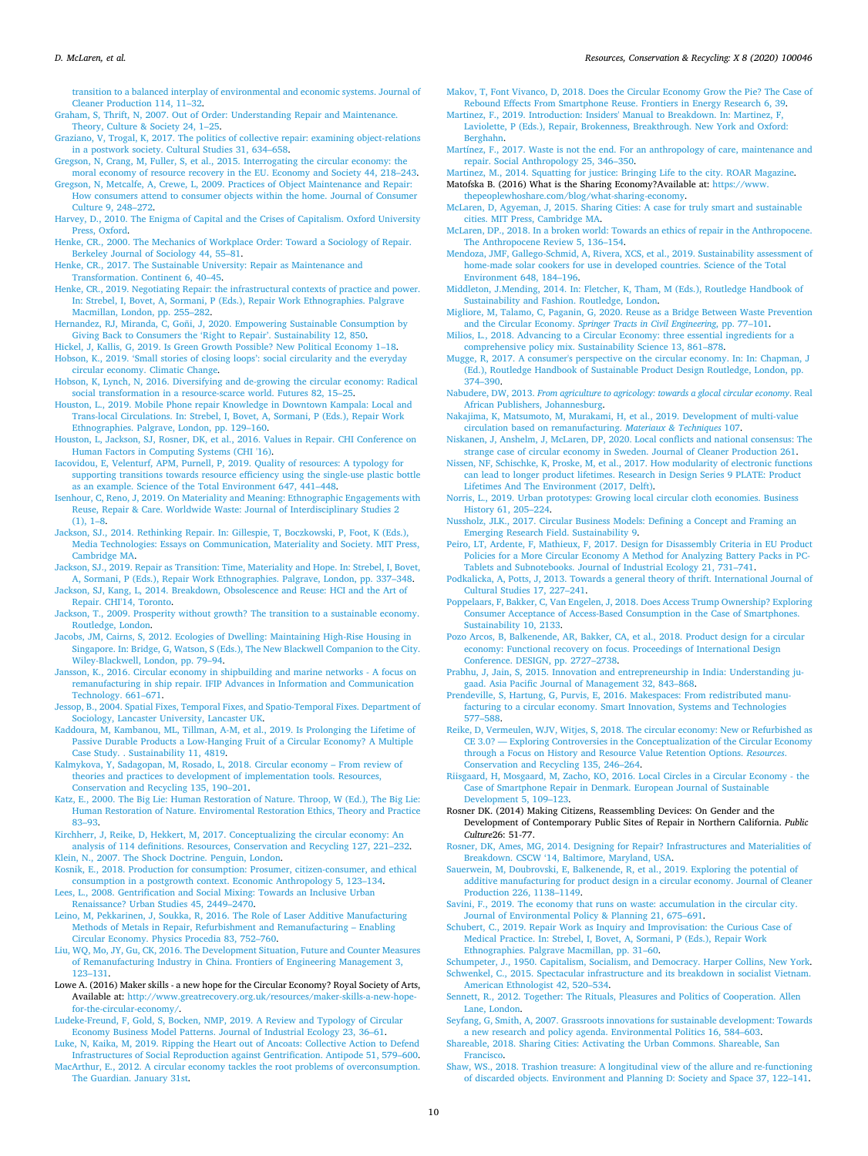[transition to a balanced interplay of environmental and economic systems. Journal of](http://refhub.elsevier.com/S2590-289X(20)30017-7/sbref0034) [Cleaner Production 114, 11–32.](http://refhub.elsevier.com/S2590-289X(20)30017-7/sbref0034)

<span id="page-9-44"></span>[Graham, S, Thrift, N, 2007. Out of Order: Understanding Repair and Maintenance.](http://refhub.elsevier.com/S2590-289X(20)30017-7/sbref0035) [Theory, Culture & Society 24, 1–25.](http://refhub.elsevier.com/S2590-289X(20)30017-7/sbref0035)

- <span id="page-9-35"></span>[Graziano, V, Trogal, K, 2017. The politics of collective repair: examining object-relations](http://refhub.elsevier.com/S2590-289X(20)30017-7/sbref0036) [in a postwork society. Cultural Studies 31, 634–658.](http://refhub.elsevier.com/S2590-289X(20)30017-7/sbref0036)
- <span id="page-9-7"></span>[Gregson, N, Crang, M, Fuller, S, et al., 2015. Interrogating the circular economy: the](http://refhub.elsevier.com/S2590-289X(20)30017-7/sbref0037) [moral economy of resource recovery in the EU. Economy and Society 44, 218–243.](http://refhub.elsevier.com/S2590-289X(20)30017-7/sbref0037)
- <span id="page-9-48"></span>[Gregson, N, Metcalfe, A, Crewe, L, 2009. Practices of Object Maintenance and Repair:](http://refhub.elsevier.com/S2590-289X(20)30017-7/sbref0038) [How consumers attend to consumer objects within the home. Journal of Consumer](http://refhub.elsevier.com/S2590-289X(20)30017-7/sbref0038) [Culture 9, 248–272.](http://refhub.elsevier.com/S2590-289X(20)30017-7/sbref0038)
- <span id="page-9-71"></span>[Harvey, D., 2010. The Enigma of Capital and the Crises of Capitalism. Oxford University](http://refhub.elsevier.com/S2590-289X(20)30017-7/sbref0039) [Press, Oxford](http://refhub.elsevier.com/S2590-289X(20)30017-7/sbref0039).
- <span id="page-9-40"></span>[Henke, CR., 2000. The Mechanics of Workplace Order: Toward a Sociology of Repair.](http://refhub.elsevier.com/S2590-289X(20)30017-7/sbref0040) [Berkeley Journal of Sociology 44, 55–81](http://refhub.elsevier.com/S2590-289X(20)30017-7/sbref0040).
- <span id="page-9-46"></span>[Henke, CR., 2017. The Sustainable University: Repair as Maintenance and](http://refhub.elsevier.com/S2590-289X(20)30017-7/sbref0041) [Transformation. Continent 6, 40–45.](http://refhub.elsevier.com/S2590-289X(20)30017-7/sbref0041)
- <span id="page-9-41"></span>[Henke, CR., 2019. Negotiating Repair: the infrastructural contexts of practice and power.](http://refhub.elsevier.com/S2590-289X(20)30017-7/sbref0042) [In: Strebel, I, Bovet, A, Sormani, P \(Eds.\), Repair Work Ethnographies. Palgrave](http://refhub.elsevier.com/S2590-289X(20)30017-7/sbref0042) [Macmillan, London, pp. 255–282](http://refhub.elsevier.com/S2590-289X(20)30017-7/sbref0042).
- <span id="page-9-20"></span>[Hernandez, RJ, Miranda, C, Goñi, J, 2020. Empowering Sustainable Consumption by](http://refhub.elsevier.com/S2590-289X(20)30017-7/sbref0043) [Giving Back to Consumers the 'Right to Repair'. Sustainability 12, 850.](http://refhub.elsevier.com/S2590-289X(20)30017-7/sbref0043)
- <span id="page-9-37"></span><span id="page-9-18"></span>[Hickel, J, Kallis, G, 2019. Is Green Growth Possible? New Political Economy 1–18.](http://refhub.elsevier.com/S2590-289X(20)30017-7/sbref0044) [Hobson, K., 2019. 'Small stories of closing loops': social circularity and the everyday](http://refhub.elsevier.com/S2590-289X(20)30017-7/sbref0045) [circular economy. Climatic Change](http://refhub.elsevier.com/S2590-289X(20)30017-7/sbref0045).
- <span id="page-9-6"></span>[Hobson, K, Lynch, N, 2016. Diversifying and de-growing the circular economy: Radical](http://refhub.elsevier.com/S2590-289X(20)30017-7/sbref0046) [social transformation in a resource-scarce world. Futures 82, 15–25](http://refhub.elsevier.com/S2590-289X(20)30017-7/sbref0046).
- <span id="page-9-72"></span>[Houston, L., 2019. Mobile Phone repair Knowledge in Downtown Kampala: Local and](http://refhub.elsevier.com/S2590-289X(20)30017-7/sbref0047) [Trans-local Circulations. In: Strebel, I, Bovet, A, Sormani, P \(Eds.\), Repair Work](http://refhub.elsevier.com/S2590-289X(20)30017-7/sbref0047) [Ethnographies. Palgrave, London, pp. 129–160](http://refhub.elsevier.com/S2590-289X(20)30017-7/sbref0047).
- <span id="page-9-63"></span>[Houston, L, Jackson, SJ, Rosner, DK, et al., 2016. Values in Repair. CHI Conference on](http://refhub.elsevier.com/S2590-289X(20)30017-7/sbref0048) [Human Factors in Computing Systems \(CHI '16\)](http://refhub.elsevier.com/S2590-289X(20)30017-7/sbref0048).
- <span id="page-9-27"></span>[Iacovidou, E, Velenturf, APM, Purnell, P, 2019. Quality of resources: A typology for](http://refhub.elsevier.com/S2590-289X(20)30017-7/sbref0049) [supporting transitions towards resource efficiency using the single-use plastic bottle](http://refhub.elsevier.com/S2590-289X(20)30017-7/sbref0049) [as an example. Science of the Total Environment 647, 441–448.](http://refhub.elsevier.com/S2590-289X(20)30017-7/sbref0049)
- <span id="page-9-34"></span>[Isenhour, C, Reno, J, 2019. On Materiality and Meaning: Ethnographic Engagements with](http://refhub.elsevier.com/S2590-289X(20)30017-7/sbref0050) [Reuse, Repair & Care. Worldwide Waste: Journal of Interdisciplinary Studies 2](http://refhub.elsevier.com/S2590-289X(20)30017-7/sbref0050) [\(1\), 1–8](http://refhub.elsevier.com/S2590-289X(20)30017-7/sbref0050).
- <span id="page-9-38"></span>[Jackson, SJ., 2014. Rethinking Repair. In: Gillespie, T, Boczkowski, P, Foot, K \(Eds.\),](http://refhub.elsevier.com/S2590-289X(20)30017-7/sbref0051) [Media Technologies: Essays on Communication, Materiality and Society. MIT Press,](http://refhub.elsevier.com/S2590-289X(20)30017-7/sbref0051) [Cambridge MA](http://refhub.elsevier.com/S2590-289X(20)30017-7/sbref0051).
- <span id="page-9-39"></span>[Jackson, SJ., 2019. Repair as Transition: Time, Materiality and Hope. In: Strebel, I, Bovet,](http://refhub.elsevier.com/S2590-289X(20)30017-7/sbref0052) [A, Sormani, P \(Eds.\), Repair Work Ethnographies. Palgrave, London, pp. 337–348.](http://refhub.elsevier.com/S2590-289X(20)30017-7/sbref0052) [Jackson, SJ, Kang, L, 2014. Breakdown, Obsolescence and Reuse: HCI and the Art of](http://refhub.elsevier.com/S2590-289X(20)30017-7/sbref0053)
- <span id="page-9-56"></span>[Repair. CHI'14, Toronto](http://refhub.elsevier.com/S2590-289X(20)30017-7/sbref0053).
- <span id="page-9-36"></span>[Jackson, T., 2009. Prosperity without growth? The transition to a sustainable economy.](http://refhub.elsevier.com/S2590-289X(20)30017-7/sbref0054) [Routledge, London](http://refhub.elsevier.com/S2590-289X(20)30017-7/sbref0054).
- <span id="page-9-49"></span>[Jacobs, JM, Cairns, S, 2012. Ecologies of Dwelling: Maintaining High-Rise Housing in](http://refhub.elsevier.com/S2590-289X(20)30017-7/sbref0055) [Singapore. In: Bridge, G, Watson, S \(Eds.\), The New Blackwell Companion to the City.](http://refhub.elsevier.com/S2590-289X(20)30017-7/sbref0055) [Wiley-Blackwell, London, pp. 79–94.](http://refhub.elsevier.com/S2590-289X(20)30017-7/sbref0055)
- <span id="page-9-13"></span>[Jansson, K., 2016. Circular economy in shipbuilding and marine networks - A focus on](http://refhub.elsevier.com/S2590-289X(20)30017-7/sbref0056) [remanufacturing in ship repair. IFIP Advances in Information and Communication](http://refhub.elsevier.com/S2590-289X(20)30017-7/sbref0056) [Technology. 661–671.](http://refhub.elsevier.com/S2590-289X(20)30017-7/sbref0056)
- <span id="page-9-0"></span>[Jessop, B., 2004. Spatial Fixes, Temporal Fixes, and Spatio-Temporal Fixes. Department of](http://refhub.elsevier.com/S2590-289X(20)30017-7/sbref0057) [Sociology, Lancaster University, Lancaster UK](http://refhub.elsevier.com/S2590-289X(20)30017-7/sbref0057).
- <span id="page-9-28"></span>[Kaddoura, M, Kambanou, ML, Tillman, A-M, et al., 2019. Is Prolonging the Lifetime of](http://refhub.elsevier.com/S2590-289X(20)30017-7/sbref0058) [Passive Durable Products a Low-Hanging Fruit of a Circular Economy? A Multiple](http://refhub.elsevier.com/S2590-289X(20)30017-7/sbref0058) [Case Study. . Sustainability 11, 4819.](http://refhub.elsevier.com/S2590-289X(20)30017-7/sbref0058)
- <span id="page-9-8"></span>[Kalmykova, Y, Sadagopan, M, Rosado, L, 2018. Circular economy – From review of](http://refhub.elsevier.com/S2590-289X(20)30017-7/sbref0059) [theories and practices to development of implementation tools. Resources,](http://refhub.elsevier.com/S2590-289X(20)30017-7/sbref0059) [Conservation and Recycling 135, 190–201](http://refhub.elsevier.com/S2590-289X(20)30017-7/sbref0059).
- <span id="page-9-66"></span>[Katz, E., 2000. The Big Lie: Human Restoration of Nature. Throop, W \(Ed.\), The Big Lie:](http://refhub.elsevier.com/S2590-289X(20)30017-7/sbref0060) [Human Restoration of Nature. Enviromental Restoration Ethics, Theory and Practice](http://refhub.elsevier.com/S2590-289X(20)30017-7/sbref0060) [83–93](http://refhub.elsevier.com/S2590-289X(20)30017-7/sbref0060).
- <span id="page-9-5"></span>[Kirchherr, J, Reike, D, Hekkert, M, 2017. Conceptualizing the circular economy: An](http://refhub.elsevier.com/S2590-289X(20)30017-7/sbref0061) [analysis of 114 definitions. Resources, Conservation and Recycling 127, 221–232](http://refhub.elsevier.com/S2590-289X(20)30017-7/sbref0061). [Klein, N., 2007. The Shock Doctrine. Penguin, London.](http://refhub.elsevier.com/S2590-289X(20)30017-7/sbref0062)
- <span id="page-9-64"></span><span id="page-9-53"></span>[Kosnik, E., 2018. Production for consumption: Prosumer, citizen-consumer, and ethical](http://refhub.elsevier.com/S2590-289X(20)30017-7/sbref0063) [consumption in a postgrowth context. Economic Anthropology 5, 123–134.](http://refhub.elsevier.com/S2590-289X(20)30017-7/sbref0063)
- <span id="page-9-61"></span>[Lees, L., 2008. Gentrification and Social Mixing: Towards an Inclusive Urban](http://refhub.elsevier.com/S2590-289X(20)30017-7/sbref0064) [Renaissance? Urban Studies 45, 2449–2470.](http://refhub.elsevier.com/S2590-289X(20)30017-7/sbref0064)
- <span id="page-9-24"></span>[Leino, M, Pekkarinen, J, Soukka, R, 2016. The Role of Laser Additive Manufacturing](http://refhub.elsevier.com/S2590-289X(20)30017-7/sbref0065) [Methods of Metals in Repair, Refurbishment and Remanufacturing – Enabling](http://refhub.elsevier.com/S2590-289X(20)30017-7/sbref0065) [Circular Economy. Physics Procedia 83, 752–760.](http://refhub.elsevier.com/S2590-289X(20)30017-7/sbref0065)
- <span id="page-9-12"></span>[Liu, WQ, Mo, JY, Gu, CK, 2016. The Development Situation, Future and Counter Measures](http://refhub.elsevier.com/S2590-289X(20)30017-7/sbref0066) [of Remanufacturing Industry in China. Frontiers of Engineering Management 3,](http://refhub.elsevier.com/S2590-289X(20)30017-7/sbref0066) [123–131](http://refhub.elsevier.com/S2590-289X(20)30017-7/sbref0066).
- <span id="page-9-67"></span>Lowe A. (2016) Maker skills - a new hope for the Circular Economy? Royal Society of Arts, Available at: [http://www.greatrecovery.org.uk/resources/maker-skills-a-new-hope](http://www.greatrecovery.org.uk/resources/maker-skills-a-new-hope-for-the-circular-economy/)[for-the-circular-economy/.](http://www.greatrecovery.org.uk/resources/maker-skills-a-new-hope-for-the-circular-economy/)
- <span id="page-9-15"></span>[Ludeke-Freund, F, Gold, S, Bocken, NMP, 2019. A Review and Typology of Circular](http://refhub.elsevier.com/S2590-289X(20)30017-7/sbref0068) [Economy Business Model Patterns. Journal of Industrial Ecology 23, 36–61.](http://refhub.elsevier.com/S2590-289X(20)30017-7/sbref0068)
- <span id="page-9-58"></span><span id="page-9-30"></span>[Luke, N, Kaika, M, 2019. Ripping the Heart out of Ancoats: Collective Action to Defend](http://refhub.elsevier.com/S2590-289X(20)30017-7/sbref0069) [Infrastructures of Social Reproduction against Gentrification. Antipode 51, 579–600.](http://refhub.elsevier.com/S2590-289X(20)30017-7/sbref0069) [MacArthur, E., 2012. A circular economy tackles the root problems of overconsumption.](http://refhub.elsevier.com/S2590-289X(20)30017-7/sbref0070) [The Guardian. January 31st](http://refhub.elsevier.com/S2590-289X(20)30017-7/sbref0070).
- <span id="page-9-33"></span>[Makov, T, Font Vivanco, D, 2018. Does the Circular Economy Grow the Pie? The Case of](http://refhub.elsevier.com/S2590-289X(20)30017-7/sbref0071) [Rebound Effects From Smartphone Reuse. Frontiers in Energy Research 6, 39](http://refhub.elsevier.com/S2590-289X(20)30017-7/sbref0071).
- <span id="page-9-43"></span>[Martinez, F., 2019. Introduction: Insiders' Manual to Breakdown. In: Martinez, F,](http://refhub.elsevier.com/S2590-289X(20)30017-7/sbref0072) [Laviolette, P \(Eds.\), Repair, Brokenness, Breakthrough. New York and Oxford:](http://refhub.elsevier.com/S2590-289X(20)30017-7/sbref0072) [Berghahn.](http://refhub.elsevier.com/S2590-289X(20)30017-7/sbref0072)
- <span id="page-9-42"></span>[Martínez, F., 2017. Waste is not the end. For an anthropology of care, maintenance and](http://refhub.elsevier.com/S2590-289X(20)30017-7/sbref0073) [repair. Social Anthropology 25, 346–350](http://refhub.elsevier.com/S2590-289X(20)30017-7/sbref0073).
- <span id="page-9-68"></span><span id="page-9-62"></span>[Martinez, M., 2014. Squatting for justice: Bringing Life to the city. ROAR Magazine.](http://refhub.elsevier.com/S2590-289X(20)30017-7/sbref0074) Matofska B. (2016) What is the Sharing Economy?Available at: [https://www.](https://www.thepeoplewhoshare.com/blog/what-sharing-economy) [thepeoplewhoshare.com/blog/what-sharing-economy.](https://www.thepeoplewhoshare.com/blog/what-sharing-economy)
- <span id="page-9-70"></span>[McLaren, D, Agyeman, J, 2015. Sharing Cities: A case for truly smart and sustainable](http://refhub.elsevier.com/S2590-289X(20)30017-7/sbref0076) [cities. MIT Press, Cambridge MA.](http://refhub.elsevier.com/S2590-289X(20)30017-7/sbref0076)
- <span id="page-9-3"></span>[McLaren, DP., 2018. In a broken world: Towards an ethics of repair in the Anthropocene.](http://refhub.elsevier.com/S2590-289X(20)30017-7/sbref0077) [The Anthropocene Review 5, 136–154](http://refhub.elsevier.com/S2590-289X(20)30017-7/sbref0077).
- <span id="page-9-16"></span>[Mendoza, JMF, Gallego-Schmid, A, Rivera, XCS, et al., 2019. Sustainability assessment of](http://refhub.elsevier.com/S2590-289X(20)30017-7/sbref0078) [home-made solar cookers for use in developed countries. Science of the Total](http://refhub.elsevier.com/S2590-289X(20)30017-7/sbref0078) [Environment 648, 184–196.](http://refhub.elsevier.com/S2590-289X(20)30017-7/sbref0078)
- <span id="page-9-54"></span>[Middleton, J.Mending, 2014. In: Fletcher, K, Tham, M \(Eds.\), Routledge Handbook of](http://refhub.elsevier.com/S2590-289X(20)30017-7/sbref0079) [Sustainability and Fashion. Routledge, London](http://refhub.elsevier.com/S2590-289X(20)30017-7/sbref0079).
- <span id="page-9-14"></span>[Migliore, M, Talamo, C, Paganin, G, 2020. Reuse as a Bridge Between Waste Prevention](http://refhub.elsevier.com/S2590-289X(20)30017-7/sbref0080) and the Circular Economy. *[Springer Tracts in Civil Engineering](http://refhub.elsevier.com/S2590-289X(20)30017-7/sbref0080)*, pp. 77–101.
- <span id="page-9-11"></span>[Milios, L., 2018. Advancing to a Circular Economy: three essential ingredients for a](http://refhub.elsevier.com/S2590-289X(20)30017-7/sbref0081) [comprehensive policy mix. Sustainability Science 13, 861–878.](http://refhub.elsevier.com/S2590-289X(20)30017-7/sbref0081)
- <span id="page-9-17"></span>[Mugge, R, 2017. A consumer's perspective on the circular economy. In: In: Chapman, J](http://refhub.elsevier.com/S2590-289X(20)30017-7/sbref0055a) [\(Ed.\), Routledge Handbook of Sustainable Product Design Routledge, London, pp.](http://refhub.elsevier.com/S2590-289X(20)30017-7/sbref0055a) [374–390](http://refhub.elsevier.com/S2590-289X(20)30017-7/sbref0055a).
- <span id="page-9-32"></span>Nabudere, DW, 2013. *[From agriculture to agricology: towards a glocal circular economy](http://refhub.elsevier.com/S2590-289X(20)30017-7/sbref0003a)*. Real [African Publishers, Johannesburg.](http://refhub.elsevier.com/S2590-289X(20)30017-7/sbref0003a)
- <span id="page-9-31"></span>[Nakajima, K, Matsumoto, M, Murakami, H, et al., 2019. Development of multi-value](http://refhub.elsevier.com/S2590-289X(20)30017-7/sbref0083) [circulation based on remanufacturing.](http://refhub.elsevier.com/S2590-289X(20)30017-7/sbref0083) *Materiaux & Techniques* 107.
- <span id="page-9-2"></span>[Niskanen, J, Anshelm, J, McLaren, DP, 2020. Local conflicts and national consensus: The](http://refhub.elsevier.com/S2590-289X(20)30017-7/sbref0084) [strange case of circular economy in Sweden. Journal of Cleaner Production 261](http://refhub.elsevier.com/S2590-289X(20)30017-7/sbref0084).
- <span id="page-9-23"></span>[Nissen, NF, Schischke, K, Proske, M, et al., 2017. How modularity of electronic functions](http://refhub.elsevier.com/S2590-289X(20)30017-7/sbref0085) [can lead to longer product lifetimes. Research in Design Series 9 PLATE: Product](http://refhub.elsevier.com/S2590-289X(20)30017-7/sbref0085) [Lifetimes And The Environment \(2017, Delft\)](http://refhub.elsevier.com/S2590-289X(20)30017-7/sbref0085).
- <span id="page-9-69"></span>[Norris, L., 2019. Urban prototypes: Growing local circular cloth economies. Business](http://refhub.elsevier.com/S2590-289X(20)30017-7/sbref0086) [History 61, 205–224](http://refhub.elsevier.com/S2590-289X(20)30017-7/sbref0086).
- <span id="page-9-10"></span>[Nussholz, JLK., 2017. Circular Business Models: Defining a Concept and Framing an](http://refhub.elsevier.com/S2590-289X(20)30017-7/sbref0087) [Emerging Research Field. Sustainability 9](http://refhub.elsevier.com/S2590-289X(20)30017-7/sbref0087).
- <span id="page-9-22"></span>[Peiro, LT, Ardente, F, Mathieux, F, 2017. Design for Disassembly Criteria in EU Product](http://refhub.elsevier.com/S2590-289X(20)30017-7/sbref0088) [Policies for a More Circular Economy A Method for Analyzing Battery Packs in PC-](http://refhub.elsevier.com/S2590-289X(20)30017-7/sbref0088)[Tablets and Subnotebooks. Journal of Industrial Ecology 21, 731–741](http://refhub.elsevier.com/S2590-289X(20)30017-7/sbref0088).
- <span id="page-9-57"></span>[Podkalicka, A, Potts, J, 2013. Towards a general theory of thrift. International Journal of](http://refhub.elsevier.com/S2590-289X(20)30017-7/sbref0089) [Cultural Studies 17, 227–241.](http://refhub.elsevier.com/S2590-289X(20)30017-7/sbref0089)
- <span id="page-9-29"></span>[Poppelaars, F, Bakker, C, Van Engelen, J, 2018. Does Access Trump Ownership? Exploring](http://refhub.elsevier.com/S2590-289X(20)30017-7/sbref0090) [Consumer Acceptance of Access-Based Consumption in the Case of Smartphones.](http://refhub.elsevier.com/S2590-289X(20)30017-7/sbref0090) [Sustainability 10, 2133.](http://refhub.elsevier.com/S2590-289X(20)30017-7/sbref0090)
- <span id="page-9-21"></span>[Pozo Arcos, B, Balkenende, AR, Bakker, CA, et al., 2018. Product design for a circular](http://refhub.elsevier.com/S2590-289X(20)30017-7/sbref0091) [economy: Functional recovery on focus. Proceedings of International Design](http://refhub.elsevier.com/S2590-289X(20)30017-7/sbref0091) [Conference. DESIGN, pp. 2727–2738.](http://refhub.elsevier.com/S2590-289X(20)30017-7/sbref0091)
- <span id="page-9-51"></span>[Prabhu, J, Jain, S, 2015. Innovation and entrepreneurship in India: Understanding ju](http://refhub.elsevier.com/S2590-289X(20)30017-7/sbref0092)[gaad. Asia Pacific Journal of Management 32, 843–868.](http://refhub.elsevier.com/S2590-289X(20)30017-7/sbref0092)
- <span id="page-9-19"></span>[Prendeville, S, Hartung, G, Purvis, E, 2016. Makespaces: From redistributed manu](http://refhub.elsevier.com/S2590-289X(20)30017-7/sbref0093)[facturing to a circular economy. Smart Innovation, Systems and Technologies](http://refhub.elsevier.com/S2590-289X(20)30017-7/sbref0093) [577–588](http://refhub.elsevier.com/S2590-289X(20)30017-7/sbref0093).
- <span id="page-9-9"></span>[Reike, D, Vermeulen, WJV, Witjes, S, 2018. The circular economy: New or Refurbished as](http://refhub.elsevier.com/S2590-289X(20)30017-7/sbref0094) [CE 3.0? — Exploring Controversies in the Conceptualization of the Circular Economy](http://refhub.elsevier.com/S2590-289X(20)30017-7/sbref0094) [through a Focus on History and Resource Value Retention Options.](http://refhub.elsevier.com/S2590-289X(20)30017-7/sbref0094) *Resources*. [Conservation and Recycling 135, 246–264](http://refhub.elsevier.com/S2590-289X(20)30017-7/sbref0094).
- <span id="page-9-26"></span>[Riisgaard, H, Mosgaard, M, Zacho, KO, 2016. Local Circles in a Circular Economy - the](http://refhub.elsevier.com/S2590-289X(20)30017-7/sbref0095) [Case of Smartphone Repair in Denmark. European Journal of Sustainable](http://refhub.elsevier.com/S2590-289X(20)30017-7/sbref0095) [Development 5, 109–123](http://refhub.elsevier.com/S2590-289X(20)30017-7/sbref0095).
- <span id="page-9-45"></span>Rosner DK. (2014) Making Citizens, Reassembling Devices: On Gender and the Development of Contemporary Public Sites of Repair in Northern California. *Public Culture*26: 51-77.
- <span id="page-9-65"></span>[Rosner, DK, Ames, MG, 2014. Designing for Repair? Infrastructures and Materialities of](http://refhub.elsevier.com/S2590-289X(20)30017-7/sbref0097) [Breakdown. CSCW '14, Baltimore, Maryland, USA.](http://refhub.elsevier.com/S2590-289X(20)30017-7/sbref0097)
- <span id="page-9-25"></span>[Sauerwein, M, Doubrovski, E, Balkenende, R, et al., 2019. Exploring the potential of](http://refhub.elsevier.com/S2590-289X(20)30017-7/sbref0098) [additive manufacturing for product design in a circular economy. Journal of Cleaner](http://refhub.elsevier.com/S2590-289X(20)30017-7/sbref0098) [Production 226, 1138–1149](http://refhub.elsevier.com/S2590-289X(20)30017-7/sbref0098).
- <span id="page-9-1"></span>[Savini, F., 2019. The economy that runs on waste: accumulation in the circular city.](http://refhub.elsevier.com/S2590-289X(20)30017-7/sbref0099) [Journal of Environmental Policy & Planning 21, 675–691.](http://refhub.elsevier.com/S2590-289X(20)30017-7/sbref0099)
- <span id="page-9-47"></span>[Schubert, C., 2019. Repair Work as Inquiry and Improvisation: the Curious Case of](http://refhub.elsevier.com/S2590-289X(20)30017-7/sbref0100) [Medical Practice. In: Strebel, I, Bovet, A, Sormani, P \(Eds.\), Repair Work](http://refhub.elsevier.com/S2590-289X(20)30017-7/sbref0100) [Ethnographies. Palgrave Macmillan, pp. 31–60.](http://refhub.elsevier.com/S2590-289X(20)30017-7/sbref0100)
- <span id="page-9-59"></span><span id="page-9-52"></span>[Schumpeter, J., 1950. Capitalism, Socialism, and Democracy. Harper Collins, New York.](http://refhub.elsevier.com/S2590-289X(20)30017-7/sbref0101) [Schwenkel, C., 2015. Spectacular infrastructure and its breakdown in socialist Vietnam.](http://refhub.elsevier.com/S2590-289X(20)30017-7/sbref0102)
- <span id="page-9-4"></span>[American Ethnologist 42, 520–534.](http://refhub.elsevier.com/S2590-289X(20)30017-7/sbref0102) [Sennett, R., 2012. Together: The Rituals, Pleasures and Politics of Cooperation. Allen](http://refhub.elsevier.com/S2590-289X(20)30017-7/sbref0103) [Lane, London.](http://refhub.elsevier.com/S2590-289X(20)30017-7/sbref0103)
- <span id="page-9-50"></span>[Seyfang, G, Smith, A, 2007. Grassroots innovations for sustainable development: Towards](http://refhub.elsevier.com/S2590-289X(20)30017-7/sbref0104) [a new research and policy agenda. Environmental Politics 16, 584–603.](http://refhub.elsevier.com/S2590-289X(20)30017-7/sbref0104)
- <span id="page-9-60"></span>[Shareable, 2018. Sharing Cities: Activating the Urban Commons. Shareable, San](http://refhub.elsevier.com/S2590-289X(20)30017-7/sbref0105) [Francisco](http://refhub.elsevier.com/S2590-289X(20)30017-7/sbref0105).
- <span id="page-9-55"></span>[Shaw, WS., 2018. Trashion treasure: A longitudinal view of the allure and re-functioning](http://refhub.elsevier.com/S2590-289X(20)30017-7/sbref0106) [of discarded objects. Environment and Planning D: Society and Space 37, 122–141.](http://refhub.elsevier.com/S2590-289X(20)30017-7/sbref0106)